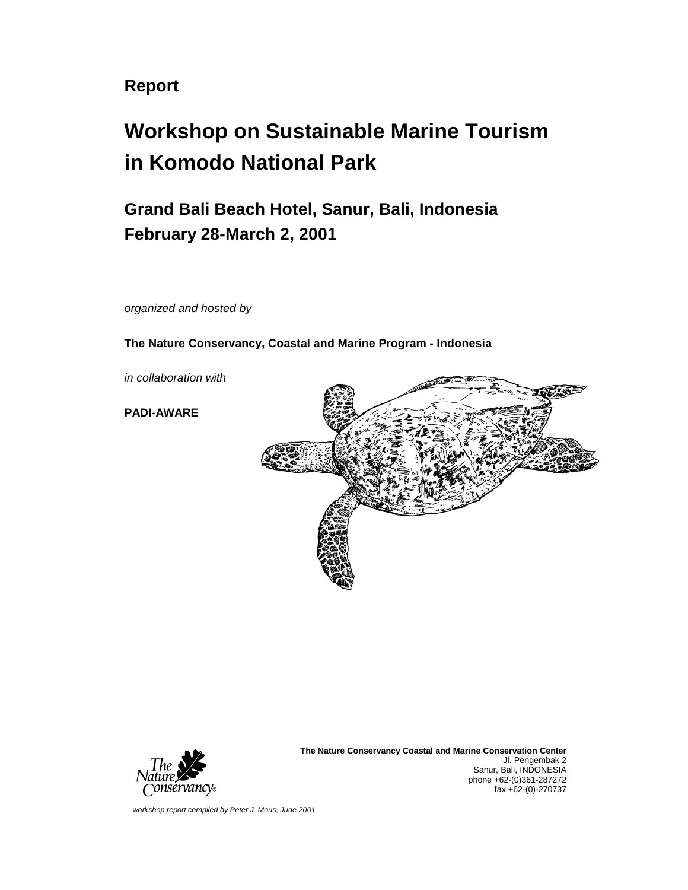**Report** 

# **Workshop on Sustainable Marine Tourism in Komodo National Park**

**Grand Bali Beach Hotel, Sanur, Bali, Indonesia February 28-March 2, 2001**

*organized and hosted by* 

**The Nature Conservancy, Coastal and Marine Program - Indonesia** 

*in collaboration with* 

**PADI-AWARE** 





**The Nature Conservancy Coastal and Marine Conservation Center** Jl. Pengembak 2 Sanur, Bali, INDONESIA phone +62-(0)361-287272 fax +62-(0)-270737

*workshop report compiled by Peter J. Mous, June 2001*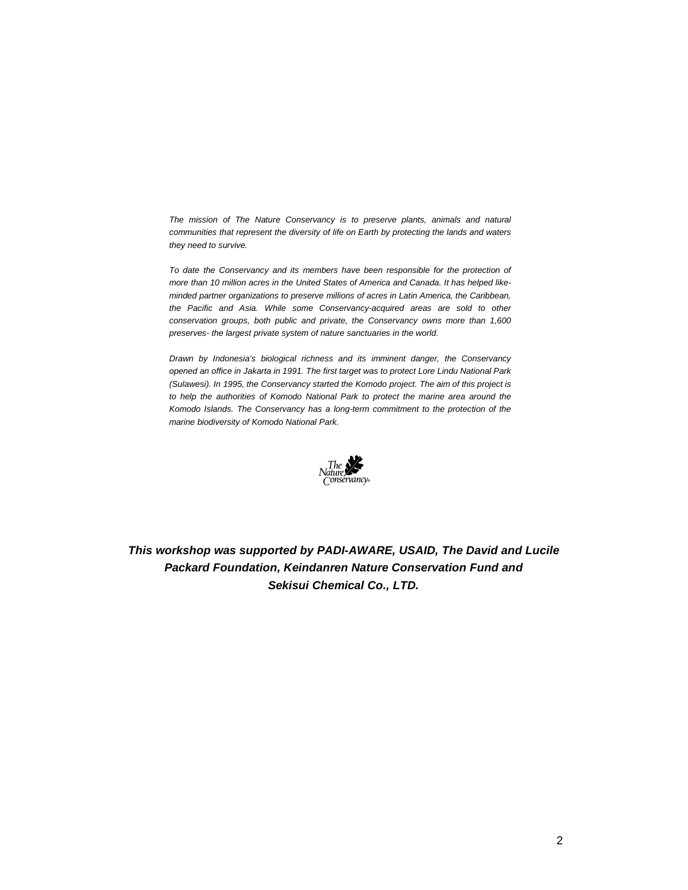*The mission of The Nature Conservancy is to preserve plants, animals and natural communities that represent the diversity of life on Earth by protecting the lands and waters they need to survive.* 

*To date the Conservancy and its members have been responsible for the protection of more than 10 million acres in the United States of America and Canada. It has helped likeminded partner organizations to preserve millions of acres in Latin America, the Caribbean, the Pacific and Asia. While some Conservancy-acquired areas are sold to other conservation groups, both public and private, the Conservancy owns more than 1,600 preserves- the largest private system of nature sanctuaries in the world.* 

*Drawn by Indonesia's biological richness and its imminent danger, the Conservancy opened an office in Jakarta in 1991. The first target was to protect Lore Lindu National Park (Sulawesi). In 1995, the Conservancy started the Komodo project. The aim of this project is to help the authorities of Komodo National Park to protect the marine area around the Komodo Islands. The Conservancy has a long-term commitment to the protection of the marine biodiversity of Komodo National Park.* 



*This workshop was supported by PADI-AWARE, USAID, The David and Lucile Packard Foundation, Keindanren Nature Conservation Fund and Sekisui Chemical Co., LTD.*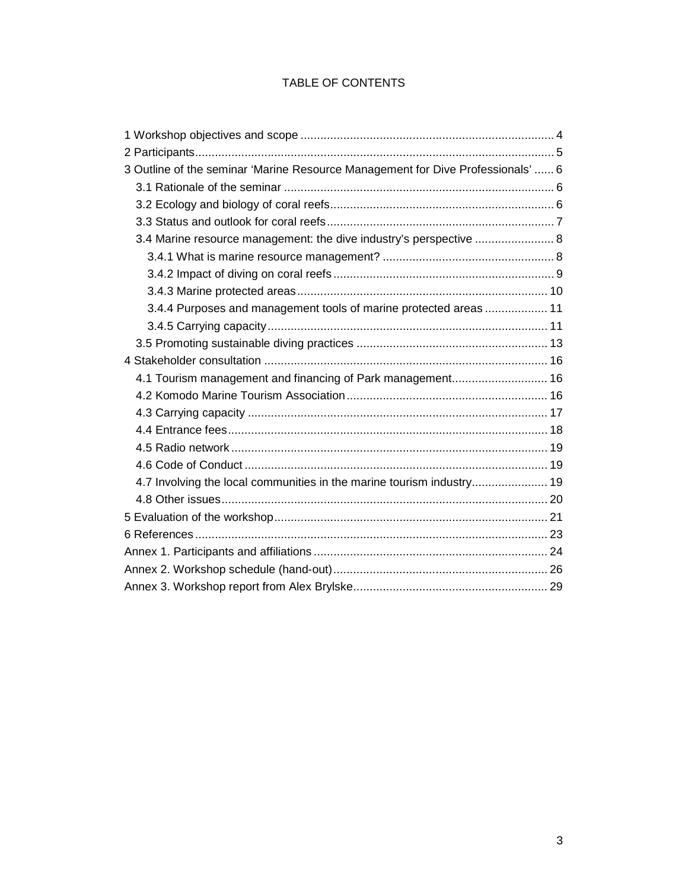#### TABLE OF CONTENTS

| 3 Outline of the seminar 'Marine Resource Management for Dive Professionals'  6 |  |
|---------------------------------------------------------------------------------|--|
|                                                                                 |  |
|                                                                                 |  |
|                                                                                 |  |
| 3.4 Marine resource management: the dive industry's perspective  8              |  |
|                                                                                 |  |
|                                                                                 |  |
|                                                                                 |  |
| 3.4.4 Purposes and management tools of marine protected areas 11                |  |
|                                                                                 |  |
|                                                                                 |  |
|                                                                                 |  |
| 4.1 Tourism management and financing of Park management 16                      |  |
|                                                                                 |  |
|                                                                                 |  |
|                                                                                 |  |
|                                                                                 |  |
|                                                                                 |  |
| 4.7 Involving the local communities in the marine tourism industry 19           |  |
|                                                                                 |  |
|                                                                                 |  |
|                                                                                 |  |
|                                                                                 |  |
|                                                                                 |  |
|                                                                                 |  |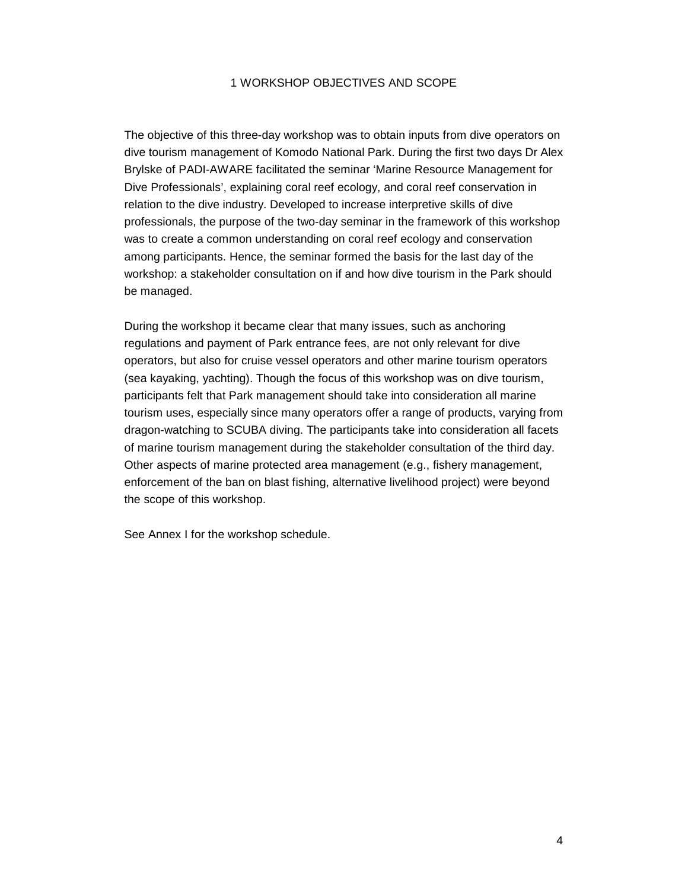#### 1 WORKSHOP OBJECTIVES AND SCOPE

The objective of this three-day workshop was to obtain inputs from dive operators on dive tourism management of Komodo National Park. During the first two days Dr Alex Brylske of PADI-AWARE facilitated the seminar 'Marine Resource Management for Dive Professionals', explaining coral reef ecology, and coral reef conservation in relation to the dive industry. Developed to increase interpretive skills of dive professionals, the purpose of the two-day seminar in the framework of this workshop was to create a common understanding on coral reef ecology and conservation among participants. Hence, the seminar formed the basis for the last day of the workshop: a stakeholder consultation on if and how dive tourism in the Park should be managed.

During the workshop it became clear that many issues, such as anchoring regulations and payment of Park entrance fees, are not only relevant for dive operators, but also for cruise vessel operators and other marine tourism operators (sea kayaking, yachting). Though the focus of this workshop was on dive tourism, participants felt that Park management should take into consideration all marine tourism uses, especially since many operators offer a range of products, varying from dragon-watching to SCUBA diving. The participants take into consideration all facets of marine tourism management during the stakeholder consultation of the third day. Other aspects of marine protected area management (e.g., fishery management, enforcement of the ban on blast fishing, alternative livelihood project) were beyond the scope of this workshop.

See Annex I for the workshop schedule.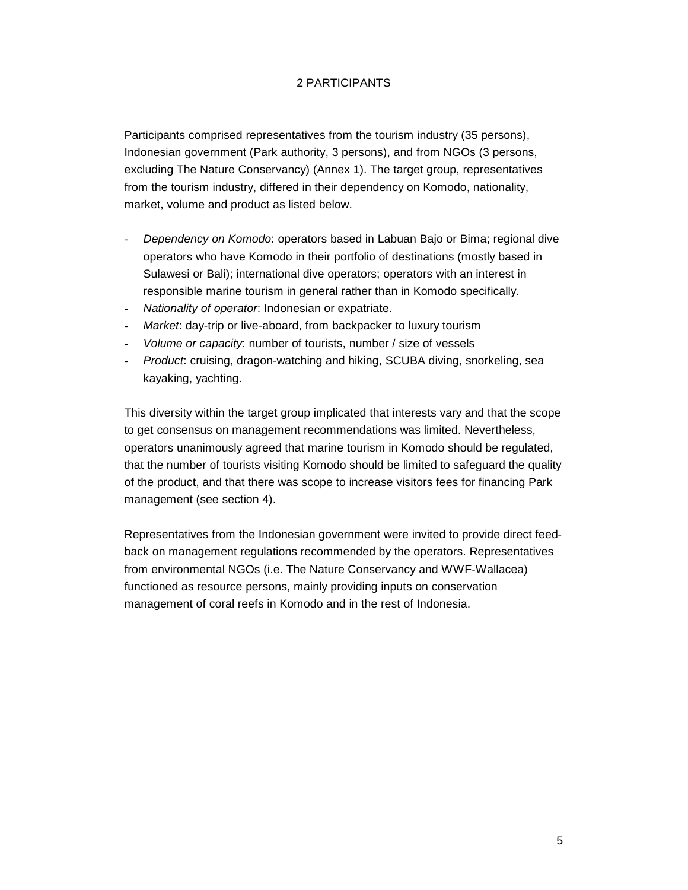#### 2 PARTICIPANTS

Participants comprised representatives from the tourism industry (35 persons), Indonesian government (Park authority, 3 persons), and from NGOs (3 persons, excluding The Nature Conservancy) (Annex 1). The target group, representatives from the tourism industry, differed in their dependency on Komodo, nationality, market, volume and product as listed below.

- *Dependency on Komodo*: operators based in Labuan Bajo or Bima; regional dive operators who have Komodo in their portfolio of destinations (mostly based in Sulawesi or Bali); international dive operators; operators with an interest in responsible marine tourism in general rather than in Komodo specifically.
- *Nationality of operator*: Indonesian or expatriate.
- *Market*: day-trip or live-aboard, from backpacker to luxury tourism
- *Volume or capacity*: number of tourists, number / size of vessels
- *Product*: cruising, dragon-watching and hiking, SCUBA diving, snorkeling, sea kayaking, yachting.

This diversity within the target group implicated that interests vary and that the scope to get consensus on management recommendations was limited. Nevertheless, operators unanimously agreed that marine tourism in Komodo should be regulated, that the number of tourists visiting Komodo should be limited to safeguard the quality of the product, and that there was scope to increase visitors fees for financing Park management (see section 4).

Representatives from the Indonesian government were invited to provide direct feedback on management regulations recommended by the operators. Representatives from environmental NGOs (i.e. The Nature Conservancy and WWF-Wallacea) functioned as resource persons, mainly providing inputs on conservation management of coral reefs in Komodo and in the rest of Indonesia.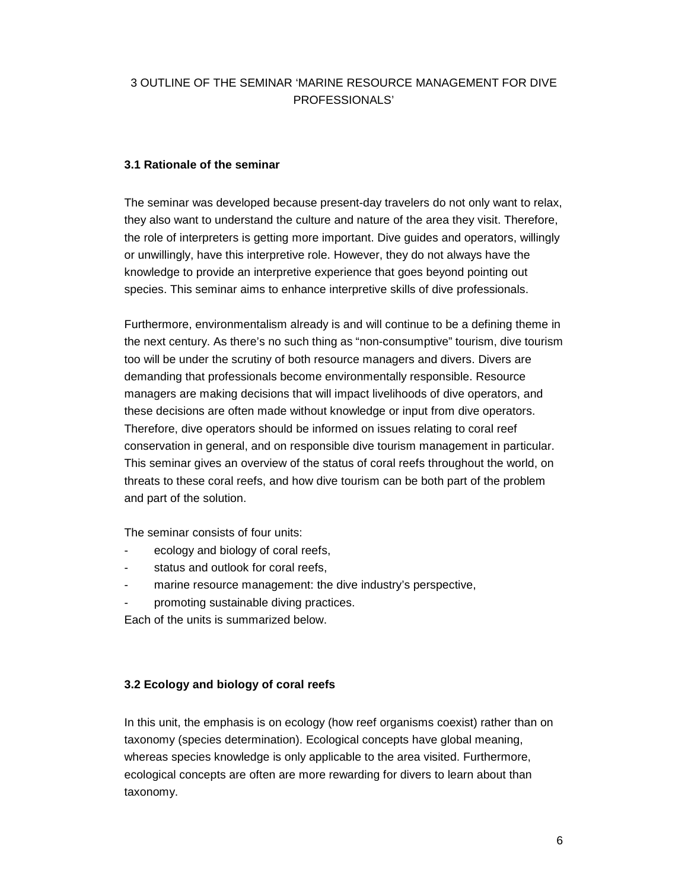#### 3 OUTLINE OF THE SEMINAR 'MARINE RESOURCE MANAGEMENT FOR DIVE PROFESSIONALS'

#### **3.1 Rationale of the seminar**

The seminar was developed because present-day travelers do not only want to relax, they also want to understand the culture and nature of the area they visit. Therefore, the role of interpreters is getting more important. Dive guides and operators, willingly or unwillingly, have this interpretive role. However, they do not always have the knowledge to provide an interpretive experience that goes beyond pointing out species. This seminar aims to enhance interpretive skills of dive professionals.

Furthermore, environmentalism already is and will continue to be a defining theme in the next century. As there's no such thing as "non-consumptive" tourism, dive tourism too will be under the scrutiny of both resource managers and divers. Divers are demanding that professionals become environmentally responsible. Resource managers are making decisions that will impact livelihoods of dive operators, and these decisions are often made without knowledge or input from dive operators. Therefore, dive operators should be informed on issues relating to coral reef conservation in general, and on responsible dive tourism management in particular. This seminar gives an overview of the status of coral reefs throughout the world, on threats to these coral reefs, and how dive tourism can be both part of the problem and part of the solution.

The seminar consists of four units:

- ecology and biology of coral reefs,
- status and outlook for coral reefs,
- marine resource management: the dive industry's perspective,
- promoting sustainable diving practices.

Each of the units is summarized below.

#### **3.2 Ecology and biology of coral reefs**

In this unit, the emphasis is on ecology (how reef organisms coexist) rather than on taxonomy (species determination). Ecological concepts have global meaning, whereas species knowledge is only applicable to the area visited. Furthermore, ecological concepts are often are more rewarding for divers to learn about than taxonomy.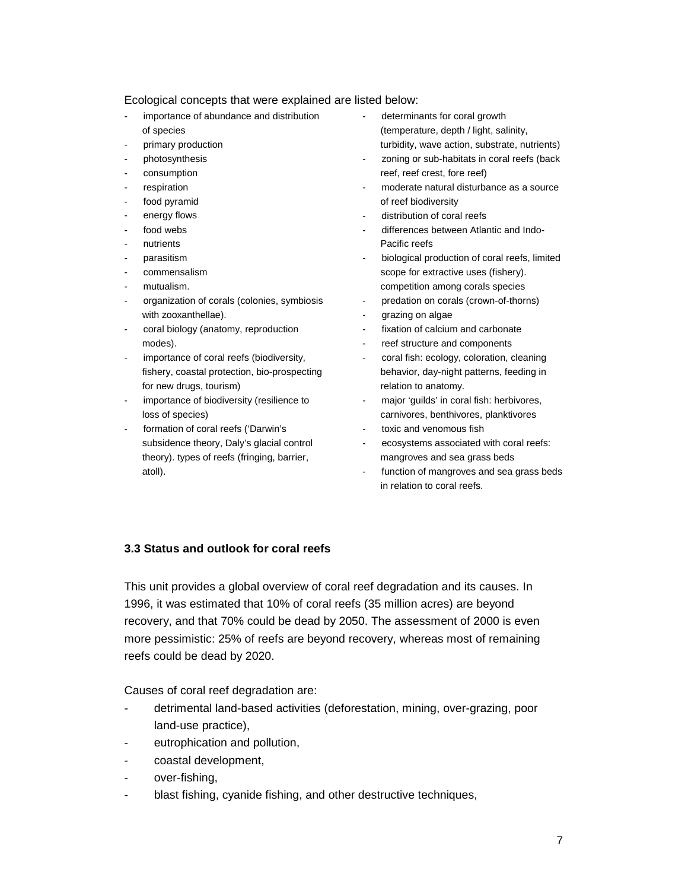#### Ecological concepts that were explained are listed below:

- importance of abundance and distribution of species
- primary production
- photosynthesis
- consumption
- respiration
- food pyramid
- energy flows
- food webs
- nutrients
- parasitism
- commensalism
- mutualism.
- organization of corals (colonies, symbiosis with zooxanthellae).
- coral biology (anatomy, reproduction modes).
- importance of coral reefs (biodiversity, fishery, coastal protection, bio-prospecting for new drugs, tourism)
- importance of biodiversity (resilience to loss of species)
- formation of coral reefs ('Darwin's subsidence theory, Daly's glacial control theory). types of reefs (fringing, barrier, atoll).
- determinants for coral growth (temperature, depth / light, salinity, turbidity, wave action, substrate, nutrients)
- zoning or sub-habitats in coral reefs (back reef, reef crest, fore reef)
- moderate natural disturbance as a source of reef biodiversity
- distribution of coral reefs
- differences between Atlantic and Indo-Pacific reefs
- biological production of coral reefs, limited scope for extractive uses (fishery). competition among corals species
- predation on corals (crown-of-thorns)
- grazing on algae
- fixation of calcium and carbonate
- reef structure and components
- coral fish: ecology, coloration, cleaning behavior, day-night patterns, feeding in relation to anatomy.
- major 'guilds' in coral fish: herbivores, carnivores, benthivores, planktivores
- toxic and venomous fish
- ecosystems associated with coral reefs: mangroves and sea grass beds
- function of mangroves and sea grass beds in relation to coral reefs.

#### **3.3 Status and outlook for coral reefs**

This unit provides a global overview of coral reef degradation and its causes. In 1996, it was estimated that 10% of coral reefs (35 million acres) are beyond recovery, and that 70% could be dead by 2050. The assessment of 2000 is even more pessimistic: 25% of reefs are beyond recovery, whereas most of remaining reefs could be dead by 2020.

Causes of coral reef degradation are:

- detrimental land-based activities (deforestation, mining, over-grazing, poor land-use practice),
- eutrophication and pollution,
- coastal development,
- over-fishing,
- blast fishing, cyanide fishing, and other destructive techniques,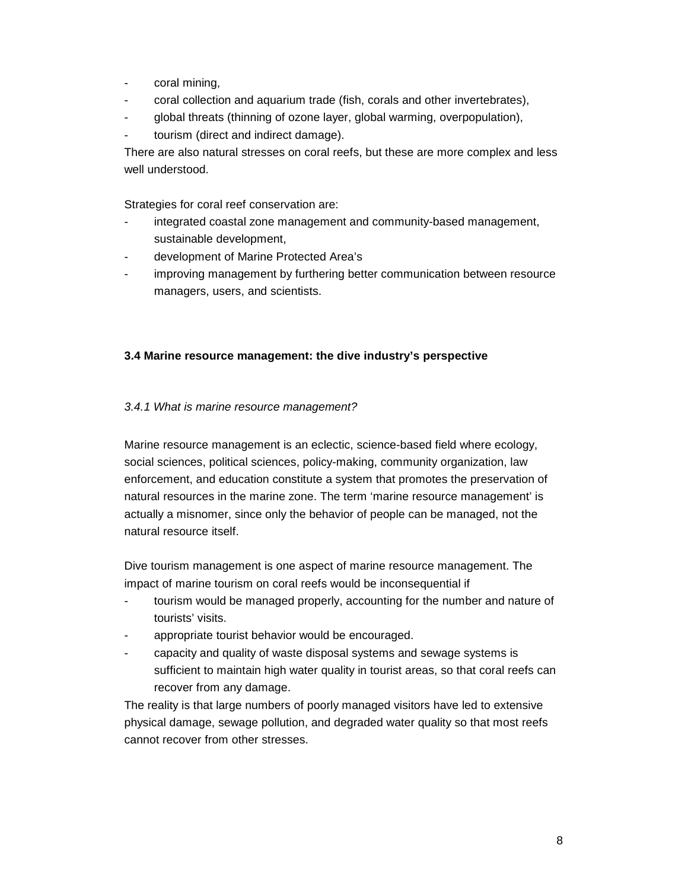- coral mining,
- coral collection and aquarium trade (fish, corals and other invertebrates),
- global threats (thinning of ozone layer, global warming, overpopulation),
- tourism (direct and indirect damage).

There are also natural stresses on coral reefs, but these are more complex and less well understood.

Strategies for coral reef conservation are:

- integrated coastal zone management and community-based management, sustainable development,
- development of Marine Protected Area's
- improving management by furthering better communication between resource managers, users, and scientists.

#### **3.4 Marine resource management: the dive industry's perspective**

#### *3.4.1 What is marine resource management?*

Marine resource management is an eclectic, science-based field where ecology, social sciences, political sciences, policy-making, community organization, law enforcement, and education constitute a system that promotes the preservation of natural resources in the marine zone. The term 'marine resource management' is actually a misnomer, since only the behavior of people can be managed, not the natural resource itself.

Dive tourism management is one aspect of marine resource management. The impact of marine tourism on coral reefs would be inconsequential if

- tourism would be managed properly, accounting for the number and nature of tourists' visits.
- appropriate tourist behavior would be encouraged.
- capacity and quality of waste disposal systems and sewage systems is sufficient to maintain high water quality in tourist areas, so that coral reefs can recover from any damage.

The reality is that large numbers of poorly managed visitors have led to extensive physical damage, sewage pollution, and degraded water quality so that most reefs cannot recover from other stresses.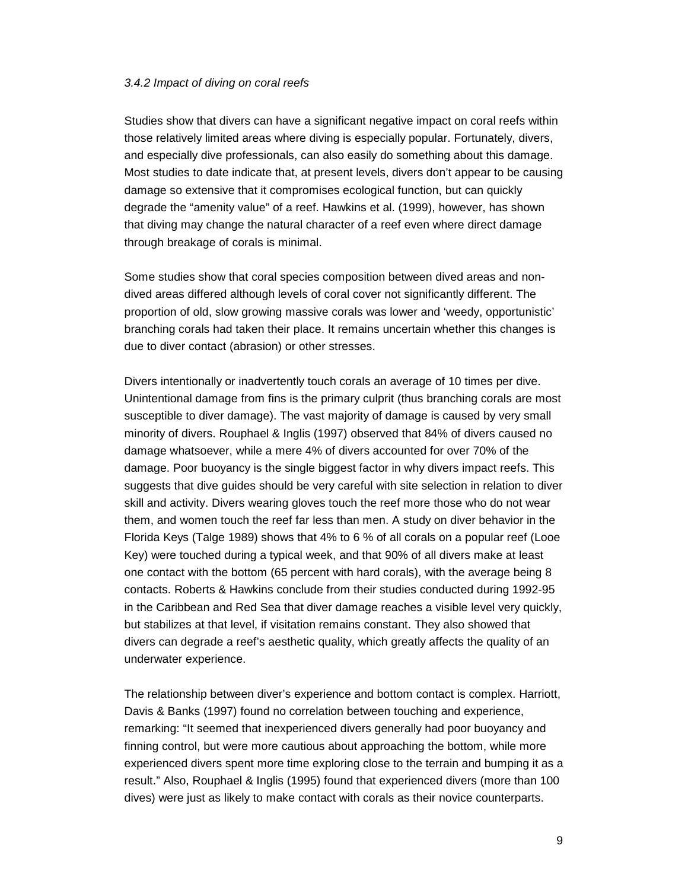#### *3.4.2 Impact of diving on coral reefs*

Studies show that divers can have a significant negative impact on coral reefs within those relatively limited areas where diving is especially popular. Fortunately, divers, and especially dive professionals, can also easily do something about this damage. Most studies to date indicate that, at present levels, divers don't appear to be causing damage so extensive that it compromises ecological function, but can quickly degrade the "amenity value" of a reef. Hawkins et al. (1999), however, has shown that diving may change the natural character of a reef even where direct damage through breakage of corals is minimal.

Some studies show that coral species composition between dived areas and nondived areas differed although levels of coral cover not significantly different. The proportion of old, slow growing massive corals was lower and 'weedy, opportunistic' branching corals had taken their place. It remains uncertain whether this changes is due to diver contact (abrasion) or other stresses.

Divers intentionally or inadvertently touch corals an average of 10 times per dive. Unintentional damage from fins is the primary culprit (thus branching corals are most susceptible to diver damage). The vast majority of damage is caused by very small minority of divers. Rouphael & Inglis (1997) observed that 84% of divers caused no damage whatsoever, while a mere 4% of divers accounted for over 70% of the damage. Poor buoyancy is the single biggest factor in why divers impact reefs. This suggests that dive guides should be very careful with site selection in relation to diver skill and activity. Divers wearing gloves touch the reef more those who do not wear them, and women touch the reef far less than men. A study on diver behavior in the Florida Keys (Talge 1989) shows that 4% to 6 % of all corals on a popular reef (Looe Key) were touched during a typical week, and that 90% of all divers make at least one contact with the bottom (65 percent with hard corals), with the average being 8 contacts. Roberts & Hawkins conclude from their studies conducted during 1992-95 in the Caribbean and Red Sea that diver damage reaches a visible level very quickly, but stabilizes at that level, if visitation remains constant. They also showed that divers can degrade a reef's aesthetic quality, which greatly affects the quality of an underwater experience.

The relationship between diver's experience and bottom contact is complex. Harriott, Davis & Banks (1997) found no correlation between touching and experience, remarking: "It seemed that inexperienced divers generally had poor buoyancy and finning control, but were more cautious about approaching the bottom, while more experienced divers spent more time exploring close to the terrain and bumping it as a result." Also, Rouphael & Inglis (1995) found that experienced divers (more than 100 dives) were just as likely to make contact with corals as their novice counterparts.

9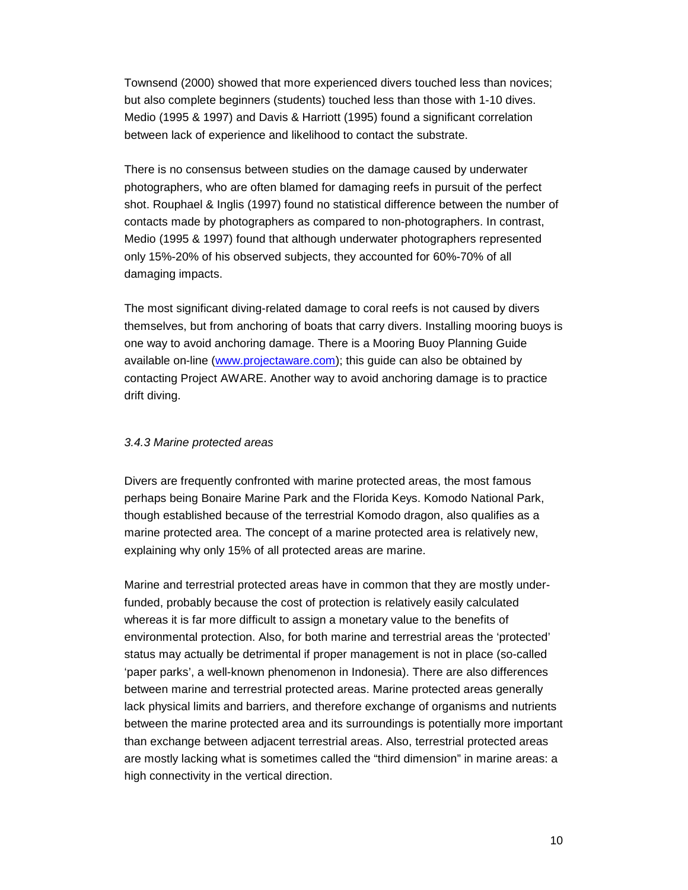Townsend (2000) showed that more experienced divers touched less than novices; but also complete beginners (students) touched less than those with 1-10 dives. Medio (1995 & 1997) and Davis & Harriott (1995) found a significant correlation between lack of experience and likelihood to contact the substrate.

There is no consensus between studies on the damage caused by underwater photographers, who are often blamed for damaging reefs in pursuit of the perfect shot. Rouphael & Inglis (1997) found no statistical difference between the number of contacts made by photographers as compared to non-photographers. In contrast, Medio (1995 & 1997) found that although underwater photographers represented only 15%-20% of his observed subjects, they accounted for 60%-70% of all damaging impacts.

The most significant diving-related damage to coral reefs is not caused by divers themselves, but from anchoring of boats that carry divers. Installing mooring buoys is one way to avoid anchoring damage. There is a Mooring Buoy Planning Guide available on-line (www.projectaware.com); this guide can also be obtained by contacting Project AWARE. Another way to avoid anchoring damage is to practice drift diving.

#### *3.4.3 Marine protected areas*

Divers are frequently confronted with marine protected areas, the most famous perhaps being Bonaire Marine Park and the Florida Keys. Komodo National Park, though established because of the terrestrial Komodo dragon, also qualifies as a marine protected area. The concept of a marine protected area is relatively new, explaining why only 15% of all protected areas are marine.

Marine and terrestrial protected areas have in common that they are mostly underfunded, probably because the cost of protection is relatively easily calculated whereas it is far more difficult to assign a monetary value to the benefits of environmental protection. Also, for both marine and terrestrial areas the 'protected' status may actually be detrimental if proper management is not in place (so-called 'paper parks', a well-known phenomenon in Indonesia). There are also differences between marine and terrestrial protected areas. Marine protected areas generally lack physical limits and barriers, and therefore exchange of organisms and nutrients between the marine protected area and its surroundings is potentially more important than exchange between adjacent terrestrial areas. Also, terrestrial protected areas are mostly lacking what is sometimes called the "third dimension" in marine areas: a high connectivity in the vertical direction.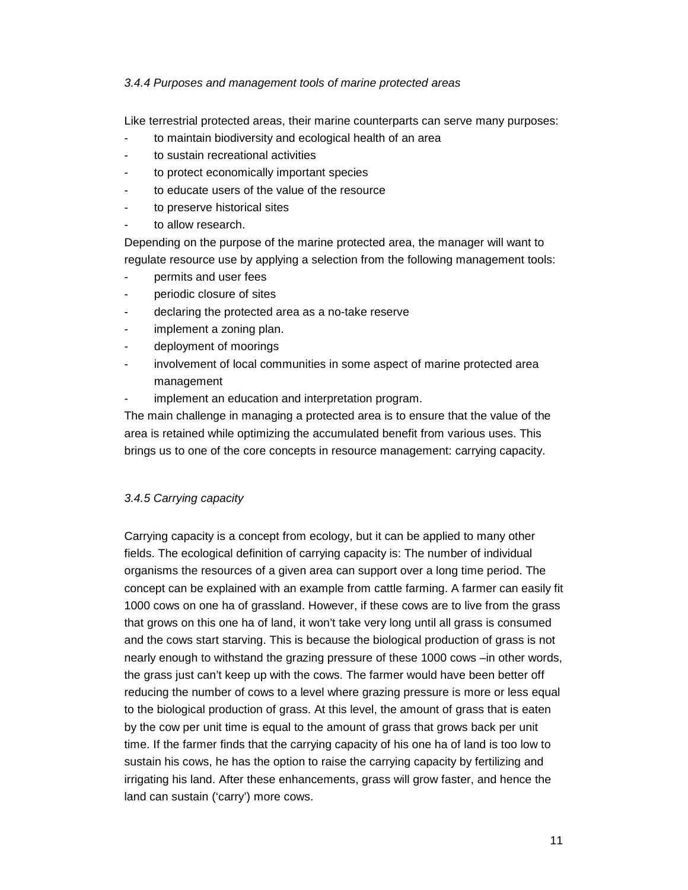#### *3.4.4 Purposes and management tools of marine protected areas*

Like terrestrial protected areas, their marine counterparts can serve many purposes:

- to maintain biodiversity and ecological health of an area
- to sustain recreational activities
- to protect economically important species
- to educate users of the value of the resource
- to preserve historical sites
- to allow research.

Depending on the purpose of the marine protected area, the manager will want to regulate resource use by applying a selection from the following management tools:

- permits and user fees
- periodic closure of sites
- declaring the protected area as a no-take reserve
- implement a zoning plan.
- deployment of moorings
- involvement of local communities in some aspect of marine protected area management
- implement an education and interpretation program.

The main challenge in managing a protected area is to ensure that the value of the area is retained while optimizing the accumulated benefit from various uses. This brings us to one of the core concepts in resource management: carrying capacity.

#### *3.4.5 Carrying capacity*

Carrying capacity is a concept from ecology, but it can be applied to many other fields. The ecological definition of carrying capacity is: The number of individual organisms the resources of a given area can support over a long time period. The concept can be explained with an example from cattle farming. A farmer can easily fit 1000 cows on one ha of grassland. However, if these cows are to live from the grass that grows on this one ha of land, it won't take very long until all grass is consumed and the cows start starving. This is because the biological production of grass is not nearly enough to withstand the grazing pressure of these 1000 cows –in other words, the grass just can't keep up with the cows. The farmer would have been better off reducing the number of cows to a level where grazing pressure is more or less equal to the biological production of grass. At this level, the amount of grass that is eaten by the cow per unit time is equal to the amount of grass that grows back per unit time. If the farmer finds that the carrying capacity of his one ha of land is too low to sustain his cows, he has the option to raise the carrying capacity by fertilizing and irrigating his land. After these enhancements, grass will grow faster, and hence the land can sustain ('carry') more cows.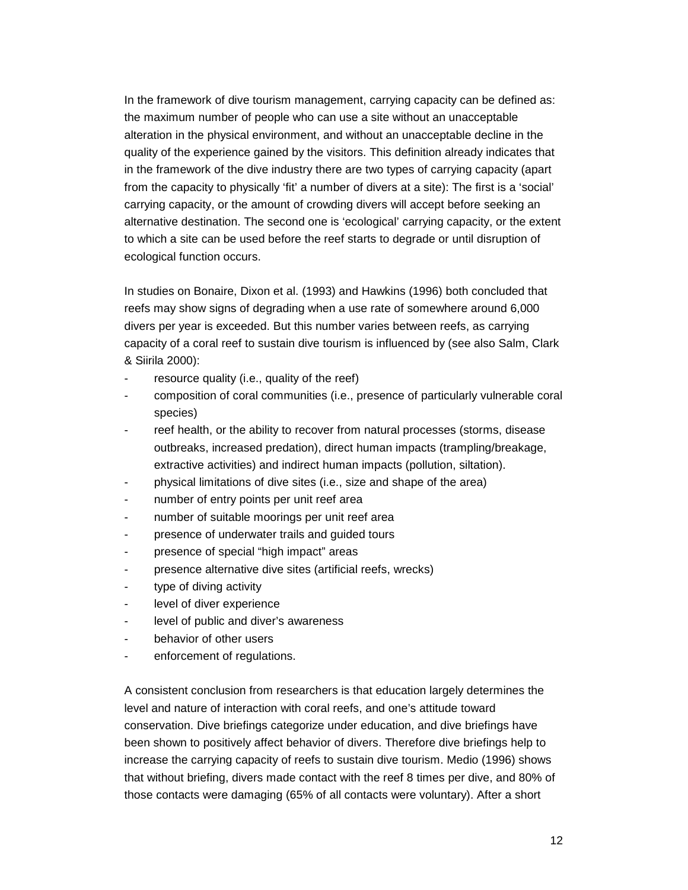In the framework of dive tourism management, carrying capacity can be defined as: the maximum number of people who can use a site without an unacceptable alteration in the physical environment, and without an unacceptable decline in the quality of the experience gained by the visitors. This definition already indicates that in the framework of the dive industry there are two types of carrying capacity (apart from the capacity to physically 'fit' a number of divers at a site): The first is a 'social' carrying capacity, or the amount of crowding divers will accept before seeking an alternative destination. The second one is 'ecological' carrying capacity, or the extent to which a site can be used before the reef starts to degrade or until disruption of ecological function occurs.

In studies on Bonaire, Dixon et al. (1993) and Hawkins (1996) both concluded that reefs may show signs of degrading when a use rate of somewhere around 6,000 divers per year is exceeded. But this number varies between reefs, as carrying capacity of a coral reef to sustain dive tourism is influenced by (see also Salm, Clark & Siirila 2000):

- resource quality (i.e., quality of the reef)
- composition of coral communities (i.e., presence of particularly vulnerable coral species)
- reef health, or the ability to recover from natural processes (storms, disease outbreaks, increased predation), direct human impacts (trampling/breakage, extractive activities) and indirect human impacts (pollution, siltation).
- physical limitations of dive sites (i.e., size and shape of the area)
- number of entry points per unit reef area
- number of suitable moorings per unit reef area
- presence of underwater trails and guided tours
- presence of special "high impact" areas
- presence alternative dive sites (artificial reefs, wrecks)
- type of diving activity
- level of diver experience
- level of public and diver's awareness
- behavior of other users
- enforcement of regulations.

A consistent conclusion from researchers is that education largely determines the level and nature of interaction with coral reefs, and one's attitude toward conservation. Dive briefings categorize under education, and dive briefings have been shown to positively affect behavior of divers. Therefore dive briefings help to increase the carrying capacity of reefs to sustain dive tourism. Medio (1996) shows that without briefing, divers made contact with the reef 8 times per dive, and 80% of those contacts were damaging (65% of all contacts were voluntary). After a short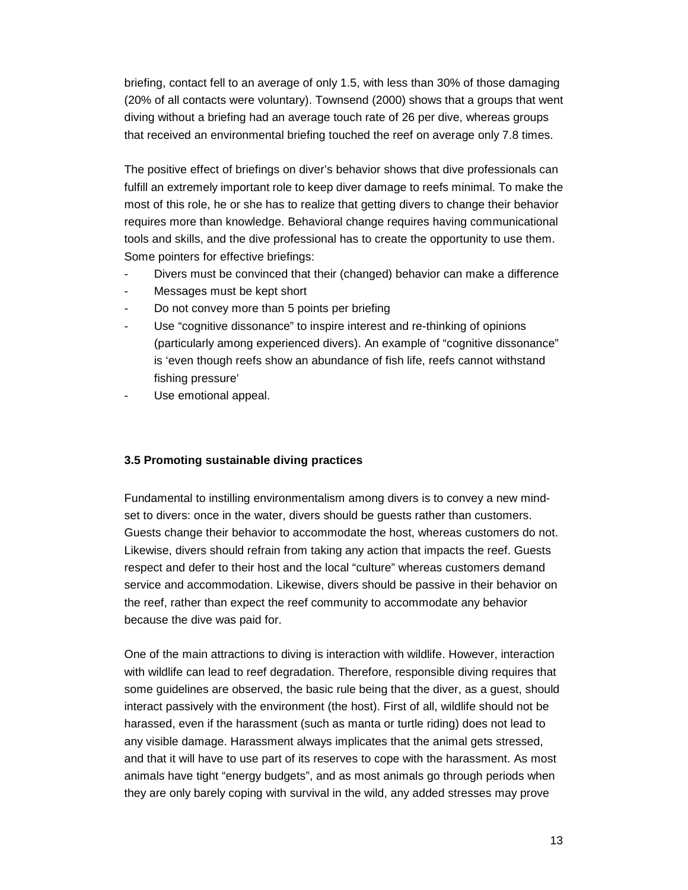briefing, contact fell to an average of only 1.5, with less than 30% of those damaging (20% of all contacts were voluntary). Townsend (2000) shows that a groups that went diving without a briefing had an average touch rate of 26 per dive, whereas groups that received an environmental briefing touched the reef on average only 7.8 times.

The positive effect of briefings on diver's behavior shows that dive professionals can fulfill an extremely important role to keep diver damage to reefs minimal. To make the most of this role, he or she has to realize that getting divers to change their behavior requires more than knowledge. Behavioral change requires having communicational tools and skills, and the dive professional has to create the opportunity to use them. Some pointers for effective briefings:

- Divers must be convinced that their (changed) behavior can make a difference
- Messages must be kept short
- Do not convey more than 5 points per briefing
- Use "cognitive dissonance" to inspire interest and re-thinking of opinions (particularly among experienced divers). An example of "cognitive dissonance" is 'even though reefs show an abundance of fish life, reefs cannot withstand fishing pressure'
- Use emotional appeal.

#### **3.5 Promoting sustainable diving practices**

Fundamental to instilling environmentalism among divers is to convey a new mindset to divers: once in the water, divers should be guests rather than customers. Guests change their behavior to accommodate the host, whereas customers do not. Likewise, divers should refrain from taking any action that impacts the reef. Guests respect and defer to their host and the local "culture" whereas customers demand service and accommodation. Likewise, divers should be passive in their behavior on the reef, rather than expect the reef community to accommodate any behavior because the dive was paid for.

One of the main attractions to diving is interaction with wildlife. However, interaction with wildlife can lead to reef degradation. Therefore, responsible diving requires that some guidelines are observed, the basic rule being that the diver, as a guest, should interact passively with the environment (the host). First of all, wildlife should not be harassed, even if the harassment (such as manta or turtle riding) does not lead to any visible damage. Harassment always implicates that the animal gets stressed, and that it will have to use part of its reserves to cope with the harassment. As most animals have tight "energy budgets", and as most animals go through periods when they are only barely coping with survival in the wild, any added stresses may prove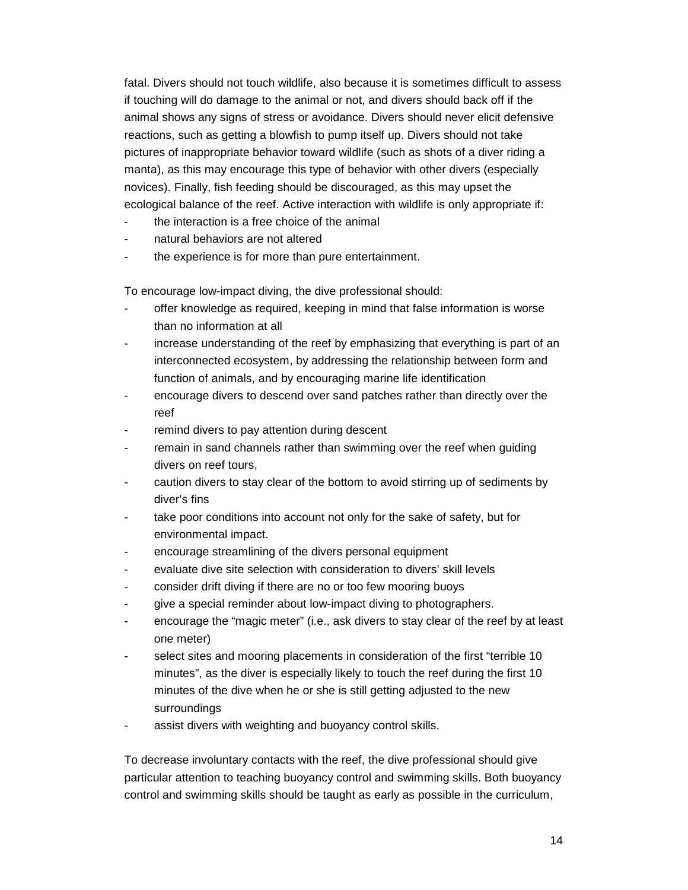fatal. Divers should not touch wildlife, also because it is sometimes difficult to assess if touching will do damage to the animal or not, and divers should back off if the animal shows any signs of stress or avoidance. Divers should never elicit defensive reactions, such as getting a blowfish to pump itself up. Divers should not take pictures of inappropriate behavior toward wildlife (such as shots of a diver riding a manta), as this may encourage this type of behavior with other divers (especially novices). Finally, fish feeding should be discouraged, as this may upset the ecological balance of the reef. Active interaction with wildlife is only appropriate if:

- the interaction is a free choice of the animal
- natural behaviors are not altered
- the experience is for more than pure entertainment.

To encourage low-impact diving, the dive professional should:

- offer knowledge as required, keeping in mind that false information is worse than no information at all
- increase understanding of the reef by emphasizing that everything is part of an interconnected ecosystem, by addressing the relationship between form and function of animals, and by encouraging marine life identification
- encourage divers to descend over sand patches rather than directly over the reef
- remind divers to pay attention during descent
- remain in sand channels rather than swimming over the reef when guiding divers on reef tours,
- caution divers to stay clear of the bottom to avoid stirring up of sediments by diver's fins
- take poor conditions into account not only for the sake of safety, but for environmental impact.
- encourage streamlining of the divers personal equipment
- evaluate dive site selection with consideration to divers' skill levels
- consider drift diving if there are no or too few mooring buoys
- give a special reminder about low-impact diving to photographers.
- encourage the "magic meter" (i.e., ask divers to stay clear of the reef by at least one meter)
- select sites and mooring placements in consideration of the first "terrible 10 minutes", as the diver is especially likely to touch the reef during the first 10 minutes of the dive when he or she is still getting adjusted to the new surroundings
- assist divers with weighting and buoyancy control skills.

To decrease involuntary contacts with the reef, the dive professional should give particular attention to teaching buoyancy control and swimming skills. Both buoyancy control and swimming skills should be taught as early as possible in the curriculum,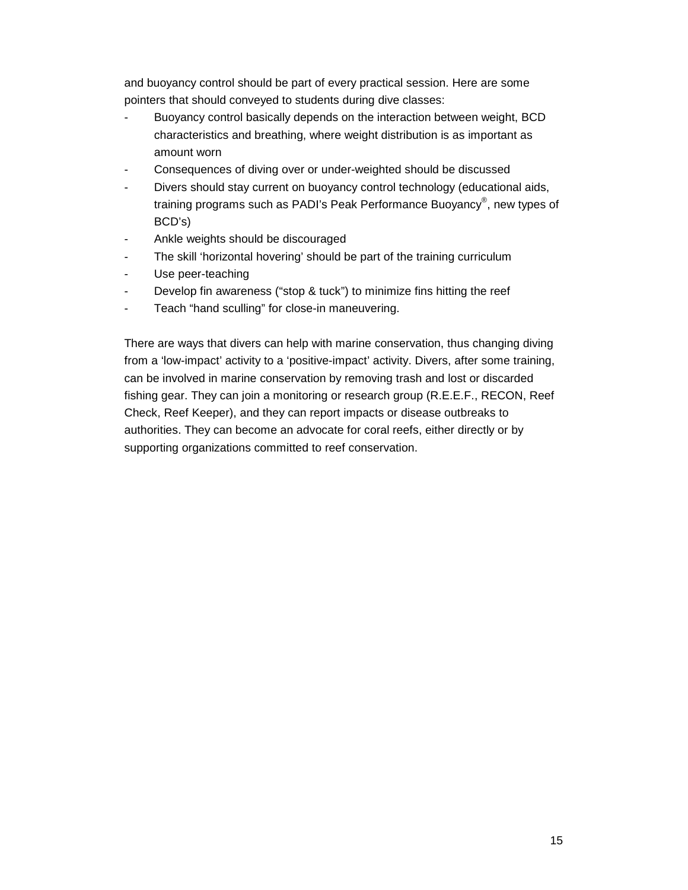and buoyancy control should be part of every practical session. Here are some pointers that should conveyed to students during dive classes:

- Buoyancy control basically depends on the interaction between weight, BCD characteristics and breathing, where weight distribution is as important as amount worn
- Consequences of diving over or under-weighted should be discussed
- Divers should stay current on buoyancy control technology (educational aids, training programs such as PADI's Peak Performance Buoyancy®, new types of BCD's)
- Ankle weights should be discouraged
- The skill 'horizontal hovering' should be part of the training curriculum
- Use peer-teaching
- Develop fin awareness ("stop & tuck") to minimize fins hitting the reef
- Teach "hand sculling" for close-in maneuvering.

There are ways that divers can help with marine conservation, thus changing diving from a 'low-impact' activity to a 'positive-impact' activity. Divers, after some training, can be involved in marine conservation by removing trash and lost or discarded fishing gear. They can join a monitoring or research group (R.E.E.F., RECON, Reef Check, Reef Keeper), and they can report impacts or disease outbreaks to authorities. They can become an advocate for coral reefs, either directly or by supporting organizations committed to reef conservation.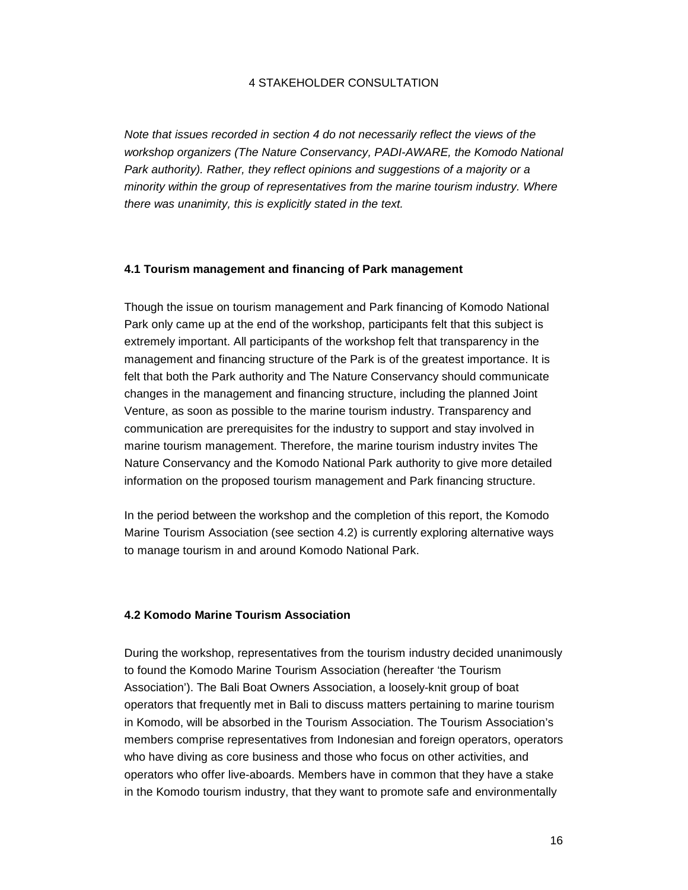#### 4 STAKEHOLDER CONSULTATION

*Note that issues recorded in section 4 do not necessarily reflect the views of the workshop organizers (The Nature Conservancy, PADI-AWARE, the Komodo National Park authority). Rather, they reflect opinions and suggestions of a majority or a minority within the group of representatives from the marine tourism industry. Where there was unanimity, this is explicitly stated in the text.* 

#### **4.1 Tourism management and financing of Park management**

Though the issue on tourism management and Park financing of Komodo National Park only came up at the end of the workshop, participants felt that this subject is extremely important. All participants of the workshop felt that transparency in the management and financing structure of the Park is of the greatest importance. It is felt that both the Park authority and The Nature Conservancy should communicate changes in the management and financing structure, including the planned Joint Venture, as soon as possible to the marine tourism industry. Transparency and communication are prerequisites for the industry to support and stay involved in marine tourism management. Therefore, the marine tourism industry invites The Nature Conservancy and the Komodo National Park authority to give more detailed information on the proposed tourism management and Park financing structure.

In the period between the workshop and the completion of this report, the Komodo Marine Tourism Association (see section 4.2) is currently exploring alternative ways to manage tourism in and around Komodo National Park.

#### **4.2 Komodo Marine Tourism Association**

During the workshop, representatives from the tourism industry decided unanimously to found the Komodo Marine Tourism Association (hereafter 'the Tourism Association'). The Bali Boat Owners Association, a loosely-knit group of boat operators that frequently met in Bali to discuss matters pertaining to marine tourism in Komodo, will be absorbed in the Tourism Association. The Tourism Association's members comprise representatives from Indonesian and foreign operators, operators who have diving as core business and those who focus on other activities, and operators who offer live-aboards. Members have in common that they have a stake in the Komodo tourism industry, that they want to promote safe and environmentally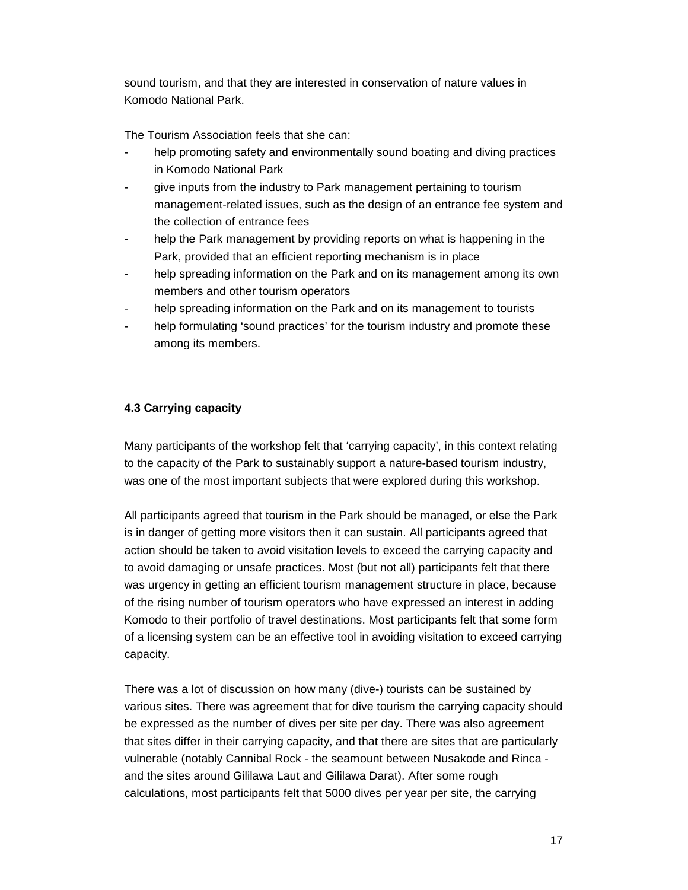sound tourism, and that they are interested in conservation of nature values in Komodo National Park.

The Tourism Association feels that she can:

- help promoting safety and environmentally sound boating and diving practices in Komodo National Park
- give inputs from the industry to Park management pertaining to tourism management-related issues, such as the design of an entrance fee system and the collection of entrance fees
- help the Park management by providing reports on what is happening in the Park, provided that an efficient reporting mechanism is in place
- help spreading information on the Park and on its management among its own members and other tourism operators
- help spreading information on the Park and on its management to tourists
- help formulating 'sound practices' for the tourism industry and promote these among its members.

#### **4.3 Carrying capacity**

Many participants of the workshop felt that 'carrying capacity', in this context relating to the capacity of the Park to sustainably support a nature-based tourism industry, was one of the most important subjects that were explored during this workshop.

All participants agreed that tourism in the Park should be managed, or else the Park is in danger of getting more visitors then it can sustain. All participants agreed that action should be taken to avoid visitation levels to exceed the carrying capacity and to avoid damaging or unsafe practices. Most (but not all) participants felt that there was urgency in getting an efficient tourism management structure in place, because of the rising number of tourism operators who have expressed an interest in adding Komodo to their portfolio of travel destinations. Most participants felt that some form of a licensing system can be an effective tool in avoiding visitation to exceed carrying capacity.

There was a lot of discussion on how many (dive-) tourists can be sustained by various sites. There was agreement that for dive tourism the carrying capacity should be expressed as the number of dives per site per day. There was also agreement that sites differ in their carrying capacity, and that there are sites that are particularly vulnerable (notably Cannibal Rock - the seamount between Nusakode and Rinca and the sites around Gililawa Laut and Gililawa Darat). After some rough calculations, most participants felt that 5000 dives per year per site, the carrying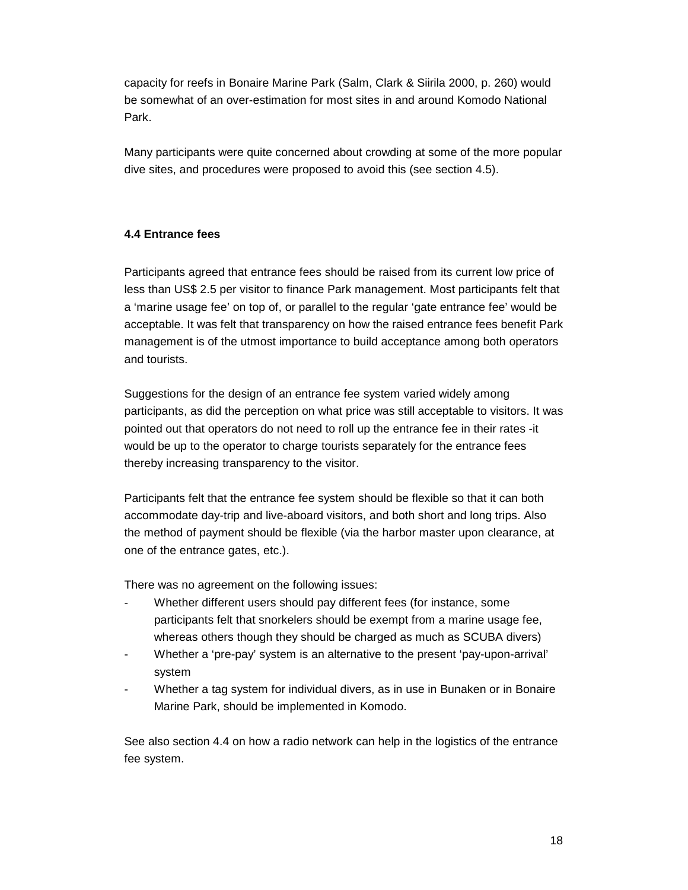capacity for reefs in Bonaire Marine Park (Salm, Clark & Siirila 2000, p. 260) would be somewhat of an over-estimation for most sites in and around Komodo National Park.

Many participants were quite concerned about crowding at some of the more popular dive sites, and procedures were proposed to avoid this (see section 4.5).

#### **4.4 Entrance fees**

Participants agreed that entrance fees should be raised from its current low price of less than US\$ 2.5 per visitor to finance Park management. Most participants felt that a 'marine usage fee' on top of, or parallel to the regular 'gate entrance fee' would be acceptable. It was felt that transparency on how the raised entrance fees benefit Park management is of the utmost importance to build acceptance among both operators and tourists.

Suggestions for the design of an entrance fee system varied widely among participants, as did the perception on what price was still acceptable to visitors. It was pointed out that operators do not need to roll up the entrance fee in their rates -it would be up to the operator to charge tourists separately for the entrance fees thereby increasing transparency to the visitor.

Participants felt that the entrance fee system should be flexible so that it can both accommodate day-trip and live-aboard visitors, and both short and long trips. Also the method of payment should be flexible (via the harbor master upon clearance, at one of the entrance gates, etc.).

There was no agreement on the following issues:

- Whether different users should pay different fees (for instance, some participants felt that snorkelers should be exempt from a marine usage fee, whereas others though they should be charged as much as SCUBA divers)
- Whether a 'pre-pay' system is an alternative to the present 'pay-upon-arrival' system
- Whether a tag system for individual divers, as in use in Bunaken or in Bonaire Marine Park, should be implemented in Komodo.

See also section 4.4 on how a radio network can help in the logistics of the entrance fee system.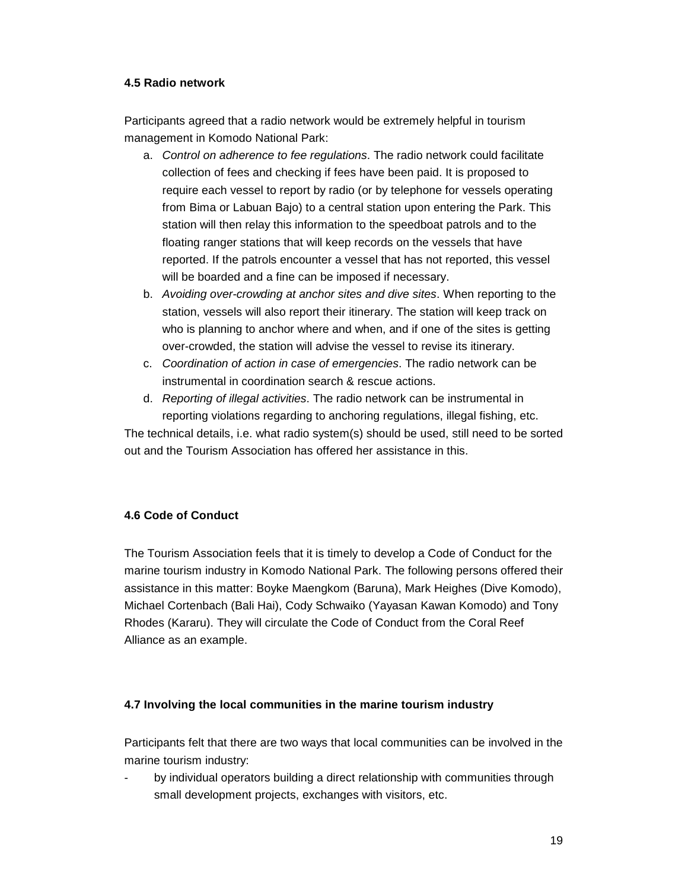#### **4.5 Radio network**

Participants agreed that a radio network would be extremely helpful in tourism management in Komodo National Park:

- a. *Control on adherence to fee regulations*. The radio network could facilitate collection of fees and checking if fees have been paid. It is proposed to require each vessel to report by radio (or by telephone for vessels operating from Bima or Labuan Bajo) to a central station upon entering the Park. This station will then relay this information to the speedboat patrols and to the floating ranger stations that will keep records on the vessels that have reported. If the patrols encounter a vessel that has not reported, this vessel will be boarded and a fine can be imposed if necessary.
- b. *Avoiding over-crowding at anchor sites and dive sites*. When reporting to the station, vessels will also report their itinerary. The station will keep track on who is planning to anchor where and when, and if one of the sites is getting over-crowded, the station will advise the vessel to revise its itinerary.
- c. *Coordination of action in case of emergencies*. The radio network can be instrumental in coordination search & rescue actions.
- d. *Reporting of illegal activities*. The radio network can be instrumental in reporting violations regarding to anchoring regulations, illegal fishing, etc.

The technical details, i.e. what radio system(s) should be used, still need to be sorted out and the Tourism Association has offered her assistance in this.

#### **4.6 Code of Conduct**

The Tourism Association feels that it is timely to develop a Code of Conduct for the marine tourism industry in Komodo National Park. The following persons offered their assistance in this matter: Boyke Maengkom (Baruna), Mark Heighes (Dive Komodo), Michael Cortenbach (Bali Hai), Cody Schwaiko (Yayasan Kawan Komodo) and Tony Rhodes (Kararu). They will circulate the Code of Conduct from the Coral Reef Alliance as an example.

#### **4.7 Involving the local communities in the marine tourism industry**

Participants felt that there are two ways that local communities can be involved in the marine tourism industry:

by individual operators building a direct relationship with communities through small development projects, exchanges with visitors, etc.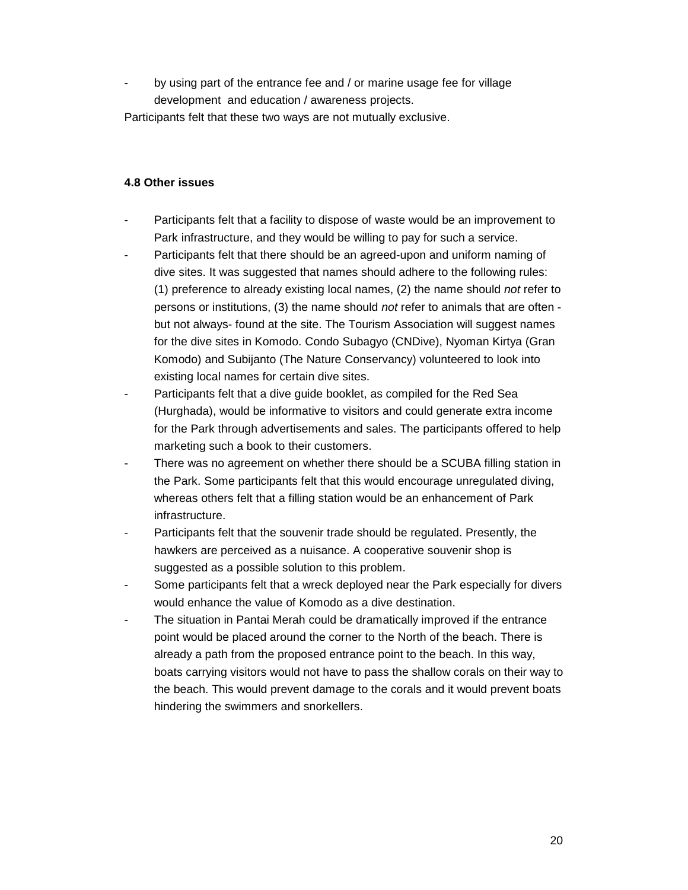by using part of the entrance fee and / or marine usage fee for village development and education / awareness projects.

Participants felt that these two ways are not mutually exclusive.

#### **4.8 Other issues**

- Participants felt that a facility to dispose of waste would be an improvement to Park infrastructure, and they would be willing to pay for such a service.
- Participants felt that there should be an agreed-upon and uniform naming of dive sites. It was suggested that names should adhere to the following rules: (1) preference to already existing local names, (2) the name should *not* refer to persons or institutions, (3) the name should *not* refer to animals that are often but not always- found at the site. The Tourism Association will suggest names for the dive sites in Komodo. Condo Subagyo (CNDive), Nyoman Kirtya (Gran Komodo) and Subijanto (The Nature Conservancy) volunteered to look into existing local names for certain dive sites.
- Participants felt that a dive quide booklet, as compiled for the Red Sea (Hurghada), would be informative to visitors and could generate extra income for the Park through advertisements and sales. The participants offered to help marketing such a book to their customers.
- There was no agreement on whether there should be a SCUBA filling station in the Park. Some participants felt that this would encourage unregulated diving, whereas others felt that a filling station would be an enhancement of Park infrastructure.
- Participants felt that the souvenir trade should be regulated. Presently, the hawkers are perceived as a nuisance. A cooperative souvenir shop is suggested as a possible solution to this problem.
- Some participants felt that a wreck deployed near the Park especially for divers would enhance the value of Komodo as a dive destination.
- The situation in Pantai Merah could be dramatically improved if the entrance point would be placed around the corner to the North of the beach. There is already a path from the proposed entrance point to the beach. In this way, boats carrying visitors would not have to pass the shallow corals on their way to the beach. This would prevent damage to the corals and it would prevent boats hindering the swimmers and snorkellers.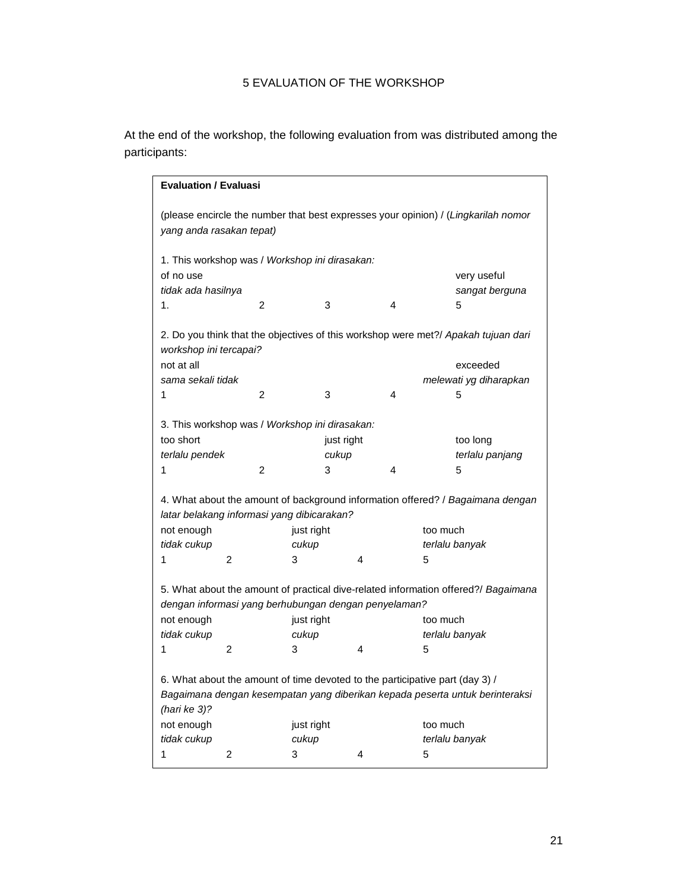### 5 EVALUATION OF THE WORKSHOP

At the end of the workshop, the following evaluation from was distributed among the participants:

| <b>Evaluation / Evaluasi</b>                                                                                                               |                                                                                                              |                                                |   |   |                                                                                |  |
|--------------------------------------------------------------------------------------------------------------------------------------------|--------------------------------------------------------------------------------------------------------------|------------------------------------------------|---|---|--------------------------------------------------------------------------------|--|
| (please encircle the number that best expresses your opinion) / (Lingkarilah nomor<br>yang anda rasakan tepat)                             |                                                                                                              |                                                |   |   |                                                                                |  |
|                                                                                                                                            |                                                                                                              | 1. This workshop was / Workshop ini dirasakan: |   |   |                                                                                |  |
| of no use                                                                                                                                  |                                                                                                              |                                                |   |   | very useful                                                                    |  |
| tidak ada hasilnya                                                                                                                         |                                                                                                              |                                                |   |   | sangat berguna                                                                 |  |
| 1.                                                                                                                                         | 2                                                                                                            | 3                                              |   | 4 | 5                                                                              |  |
|                                                                                                                                            | 2. Do you think that the objectives of this workshop were met?/ Apakah tujuan dari<br>workshop ini tercapai? |                                                |   |   |                                                                                |  |
| not at all                                                                                                                                 |                                                                                                              |                                                |   |   | exceeded                                                                       |  |
| sama sekali tidak                                                                                                                          |                                                                                                              |                                                |   |   | melewati yg diharapkan                                                         |  |
| 1                                                                                                                                          | 2                                                                                                            | 3                                              |   | 4 | 5                                                                              |  |
|                                                                                                                                            |                                                                                                              | 3. This workshop was / Workshop ini dirasakan: |   |   |                                                                                |  |
| too short                                                                                                                                  |                                                                                                              | just right                                     |   |   | too long                                                                       |  |
| terlalu pendek                                                                                                                             |                                                                                                              | cukup                                          |   |   | terlalu panjang                                                                |  |
| 1                                                                                                                                          | 2                                                                                                            | 3                                              |   | 4 | 5                                                                              |  |
|                                                                                                                                            |                                                                                                              | latar belakang informasi yang dibicarakan?     |   |   | 4. What about the amount of background information offered? / Bagaimana dengan |  |
| not enough                                                                                                                                 |                                                                                                              | just right                                     |   |   | too much                                                                       |  |
| tidak cukup                                                                                                                                |                                                                                                              | cukup                                          |   |   | terlalu banyak                                                                 |  |
| 1                                                                                                                                          | 2                                                                                                            | 3                                              | 4 |   | 5                                                                              |  |
| 5. What about the amount of practical dive-related information offered?/ Bagaimana<br>dengan informasi yang berhubungan dengan penyelaman? |                                                                                                              |                                                |   |   |                                                                                |  |
| not enough                                                                                                                                 |                                                                                                              | just right                                     |   |   | too much                                                                       |  |
| tidak cukup                                                                                                                                |                                                                                                              | cukup                                          |   |   | terlalu banyak                                                                 |  |
| 1                                                                                                                                          | 2                                                                                                            | 3                                              | 4 |   | 5                                                                              |  |
|                                                                                                                                            |                                                                                                              |                                                |   |   |                                                                                |  |
|                                                                                                                                            |                                                                                                              |                                                |   |   | 6. What about the amount of time devoted to the participative part (day 3) /   |  |
| (hari ke $3$ )?                                                                                                                            |                                                                                                              |                                                |   |   | Bagaimana dengan kesempatan yang diberikan kepada peserta untuk berinteraksi   |  |
| not enough                                                                                                                                 |                                                                                                              | just right                                     |   |   | too much                                                                       |  |
| tidak cukup                                                                                                                                |                                                                                                              | cukup                                          |   |   | terlalu banyak                                                                 |  |
| 1                                                                                                                                          | 2                                                                                                            | 3                                              | 4 |   | 5                                                                              |  |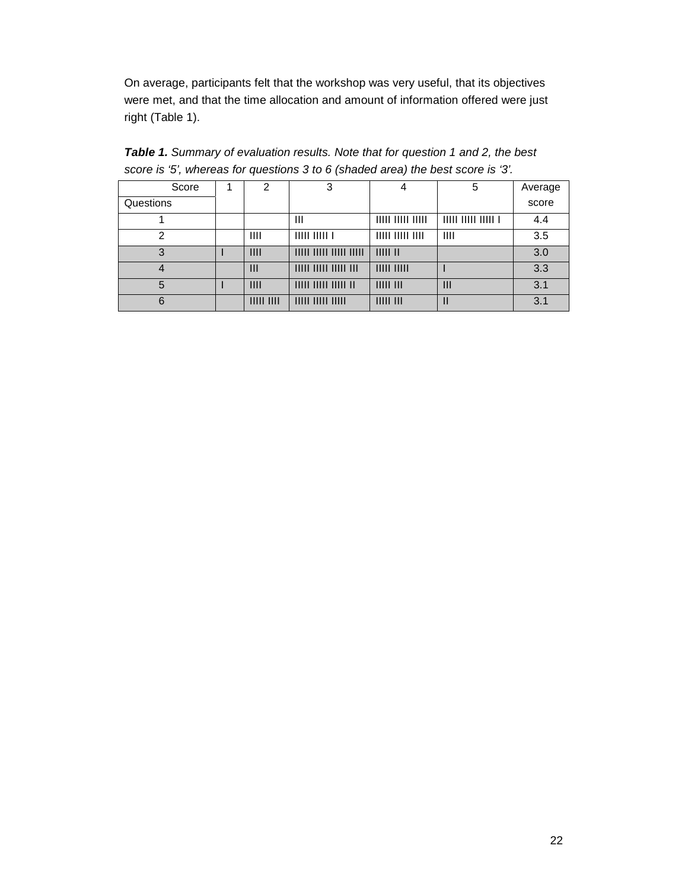On average, participants felt that the workshop was very useful, that its objectives were met, and that the time allocation and amount of information offered were just right (Table 1).

| Score     | 2        | 3                             | 4                       | 5                           | Average |
|-----------|----------|-------------------------------|-------------------------|-----------------------------|---------|
| Questions |          |                               |                         |                             | score   |
|           |          | Ш                             | $11111$ $11111$ $11111$ | $11111$ $11111$ $11111$ $1$ | 4.4     |
| 2         | Ш        | IIIIII1                       | $11111$ $11111$ $1111$  | Ш                           | 3.5     |
| 3         | III      |                               | IIIIIII                 |                             | 3.0     |
|           | Ш        | $11111$ $11111$ $11111$ $111$ | IIIII IIIII             |                             | 3.3     |
| 5         | III      |                               | 1111111111              | $\mathbf{III}$              | 3.1     |
| 6         | IIIIIIII | $11111$ $11111$ $11111$       | 1111111111              | $\mathbf{I}$                | 3.1     |

*Table 1. Summary of evaluation results. Note that for question 1 and 2, the best score is '5', whereas for questions 3 to 6 (shaded area) the best score is '3'.*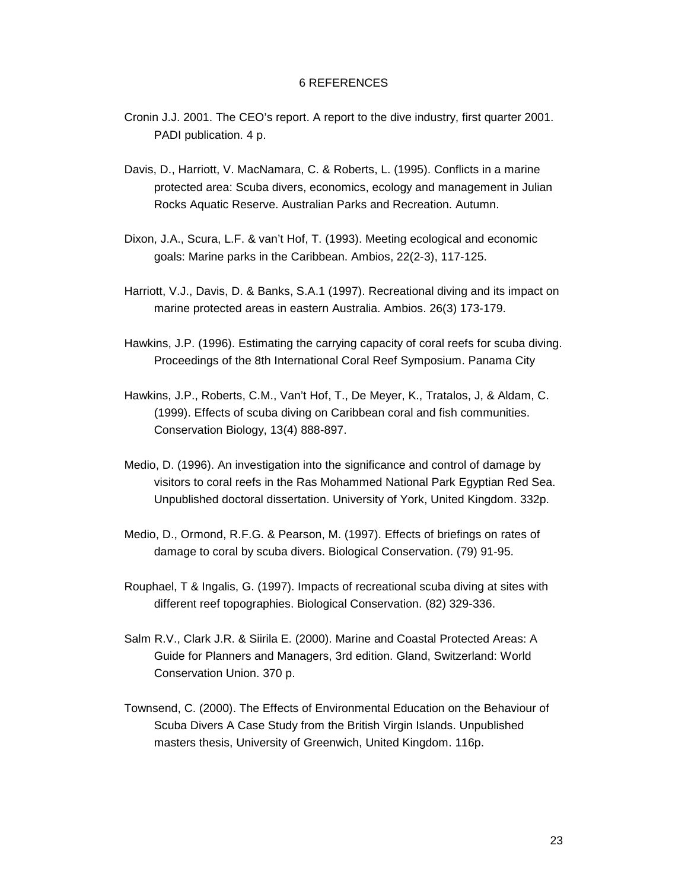#### 6 REFERENCES

- Cronin J.J. 2001. The CEO's report. A report to the dive industry, first quarter 2001. PADI publication. 4 p.
- Davis, D., Harriott, V. MacNamara, C. & Roberts, L. (1995). Conflicts in a marine protected area: Scuba divers, economics, ecology and management in Julian Rocks Aquatic Reserve. Australian Parks and Recreation. Autumn.
- Dixon, J.A., Scura, L.F. & van't Hof, T. (1993). Meeting ecological and economic goals: Marine parks in the Caribbean. Ambios, 22(2-3), 117-125.
- Harriott, V.J., Davis, D. & Banks, S.A.1 (1997). Recreational diving and its impact on marine protected areas in eastern Australia. Ambios. 26(3) 173-179.
- Hawkins, J.P. (1996). Estimating the carrying capacity of coral reefs for scuba diving. Proceedings of the 8th International Coral Reef Symposium. Panama City
- Hawkins, J.P., Roberts, C.M., Van't Hof, T., De Meyer, K., Tratalos, J, & Aldam, C. (1999). Effects of scuba diving on Caribbean coral and fish communities. Conservation Biology, 13(4) 888-897.
- Medio, D. (1996). An investigation into the significance and control of damage by visitors to coral reefs in the Ras Mohammed National Park Egyptian Red Sea. Unpublished doctoral dissertation. University of York, United Kingdom. 332p.
- Medio, D., Ormond, R.F.G. & Pearson, M. (1997). Effects of briefings on rates of damage to coral by scuba divers. Biological Conservation. (79) 91-95.
- Rouphael, T & Ingalis, G. (1997). Impacts of recreational scuba diving at sites with different reef topographies. Biological Conservation. (82) 329-336.
- Salm R.V., Clark J.R. & Siirila E. (2000). Marine and Coastal Protected Areas: A Guide for Planners and Managers, 3rd edition. Gland, Switzerland: World Conservation Union. 370 p.
- Townsend, C. (2000). The Effects of Environmental Education on the Behaviour of Scuba Divers A Case Study from the British Virgin Islands. Unpublished masters thesis, University of Greenwich, United Kingdom. 116p.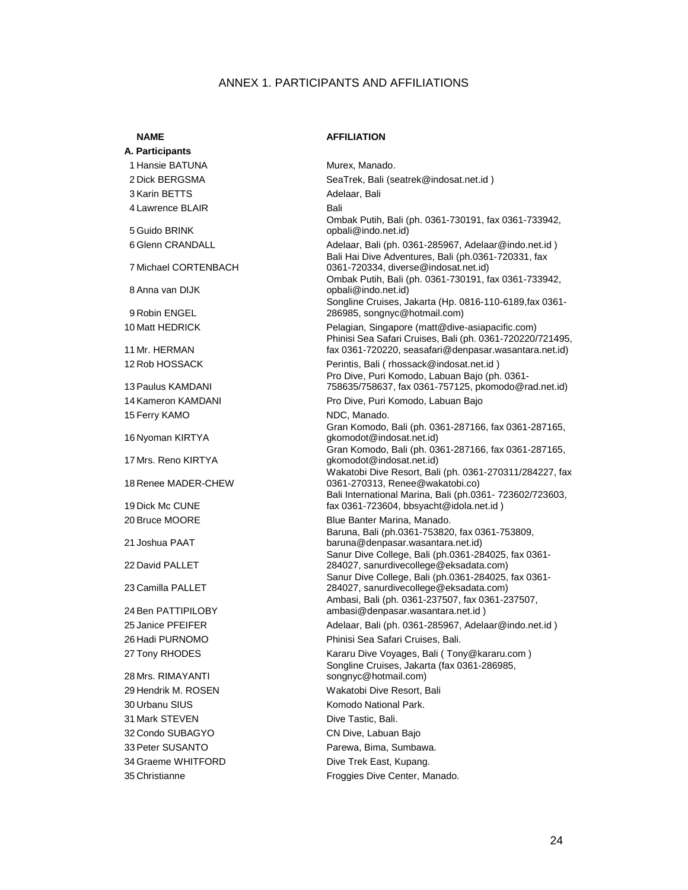#### ANNEX 1. PARTICIPANTS AND AFFILIATIONS

**A. Participants**  1 Hansie BATUNA Murex, Manado. 3 Karin BETTS Adelaar, Bali 4 Lawrence BLAIR Bali 5 Guido BRINK 7 Michael CORTENBACH 8 Anna van DIJK 9 Robin ENGEL 11 Mr. HERMAN 13 Paulus KAMDANI 15 Ferry KAMO **NDC**, Manado. 16 Nyoman KIRTYA 17 Mrs. Reno KIRTYA 18 Renee MADER-CHEW 19 Dick Mc CUNE 20 Bruce MOORE Blue Banter Marina, Manado. 21 Joshua PAAT 22 David PALLET 23 Camilla PALLET 24 Ben PATTIPILOBY 28 Mrs. RIMAYANTI 29 Hendrik M. ROSEN Wakatobi Dive Resort, Bali 30 Urbanu SIUS **Komodo National Park.** Komodo National Park. 31 Mark STEVEN Dive Tastic, Bali. 32 Condo SUBAGYO CN Dive, Labuan Bajo 33 Peter SUSANTO **Parewa, Bima, Sumbawa.** 34 Graeme WHITFORD Dive Trek East, Kupang.

#### **NAME** AFFILIATION

2 Dick BERGSMA SeaTrek, Bali (seatrek@indosat.net.id) Ombak Putih, Bali (ph. 0361-730191, fax 0361-733942, opbali@indo.net.id) 6 Glenn CRANDALL Adelaar, Bali (ph. 0361-285967, Adelaar@indo.net.id ) Bali Hai Dive Adventures, Bali (ph.0361-720331, fax 0361-720334, diverse@indosat.net.id) Ombak Putih, Bali (ph. 0361-730191, fax 0361-733942, opbali@indo.net.id) Songline Cruises, Jakarta (Hp. 0816-110-6189,fax 0361- 286985, songnyc@hotmail.com) 10 Matt HEDRICK Pelagian, Singapore (matt@dive-asiapacific.com) Phinisi Sea Safari Cruises, Bali (ph. 0361-720220/721495, fax 0361-720220, seasafari@denpasar.wasantara.net.id) 12 Rob HOSSACK Perintis, Bali ( rhossack@indosat.net.id ) Pro Dive, Puri Komodo, Labuan Bajo (ph. 0361- 758635/758637, fax 0361-757125, pkomodo@rad.net.id) 14 Kameron KAMDANI Pro Dive, Puri Komodo, Labuan Bajo Gran Komodo, Bali (ph. 0361-287166, fax 0361-287165, gkomodot@indosat.net.id) Gran Komodo, Bali (ph. 0361-287166, fax 0361-287165, gkomodot@indosat.net.id) Wakatobi Dive Resort, Bali (ph. 0361-270311/284227, fax 0361-270313, Renee@wakatobi.co) Bali International Marina, Bali (ph.0361- 723602/723603, fax 0361-723604, bbsyacht@idola.net.id ) Baruna, Bali (ph.0361-753820, fax 0361-753809, baruna@denpasar.wasantara.net.id) Sanur Dive College, Bali (ph.0361-284025, fax 0361- 284027, sanurdivecollege@eksadata.com) Sanur Dive College, Bali (ph.0361-284025, fax 0361- 284027, sanurdivecollege@eksadata.com) Ambasi, Bali (ph. 0361-237507, fax 0361-237507, ambasi@denpasar.wasantara.net.id ) 25 Janice PFEIFER **Adelaar, Bali (ph. 0361-285967, Adelaar@indo.net.id**) 26 Hadi PURNOMO Phinisi Sea Safari Cruises, Bali. 27 Tony RHODES **Kararu Dive Voyages, Bali ( Tony@kararu.com** ) Songline Cruises, Jakarta (fax 0361-286985, songnyc@hotmail.com) 35 Christianne Froggies Dive Center, Manado.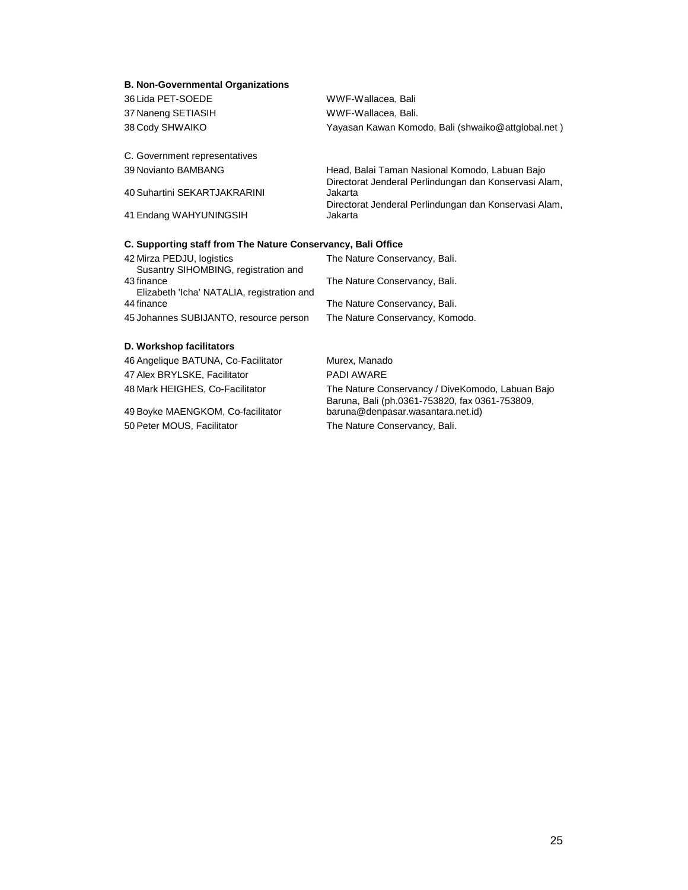#### **B. Non-Governmental Organizations**

| 36 Lida PET-SOEDE                                                 | WWF-Wallacea, Bali                                                                                      |
|-------------------------------------------------------------------|---------------------------------------------------------------------------------------------------------|
| 37 Naneng SETIASIH                                                | WWF-Wallacea, Bali.                                                                                     |
| 38 Cody SHWAIKO                                                   | Yayasan Kawan Komodo, Bali (shwaiko@attglobal.net)                                                      |
| C. Government representatives                                     |                                                                                                         |
| 39 Novianto BAMBANG                                               | Head, Balai Taman Nasional Komodo, Labuan Bajo<br>Directorat Jenderal Perlindungan dan Konservasi Alam, |
| 40 Suhartini SEKARTJAKRARINI                                      | Jakarta                                                                                                 |
| 41 Endang WAHYUNINGSIH                                            | Directorat Jenderal Perlindungan dan Konservasi Alam,<br>Jakarta                                        |
| C. Supporting staff from The Nature Conservancy, Bali Office      |                                                                                                         |
| 42 Mirza PEDJU, logistics<br>Susantry SIHOMBING, registration and | The Nature Conservancy, Bali.                                                                           |
| 43 finance<br>Elizabeth 'Icha' NATALIA, registration and          | The Nature Conservancy, Bali.                                                                           |
| 44 finance                                                        | The Nature Conservancy, Bali.                                                                           |
| 45 Johannes SUBIJANTO, resource person                            | The Nature Conservancy, Komodo.                                                                         |
| D. Workshop facilitators                                          |                                                                                                         |
| 46 Angelique BATUNA, Co-Facilitator                               | Murex, Manado                                                                                           |
| 47 Alex BRYLSKE, Facilitator                                      | PADI AWARF                                                                                              |
| 48 Mark HEIGHES, Co-Facilitator                                   | The Nature Conservancy / DiveKomodo, Labuan Bajo                                                        |

49 Boyke MAENGKOM, Co-facilitator 50 Peter MOUS, Facilitator The Nature Conservancy, Bali.

Baruna, Bali (ph.0361-753820, fax 0361-753809,

baruna@denpasar.wasantara.net.id)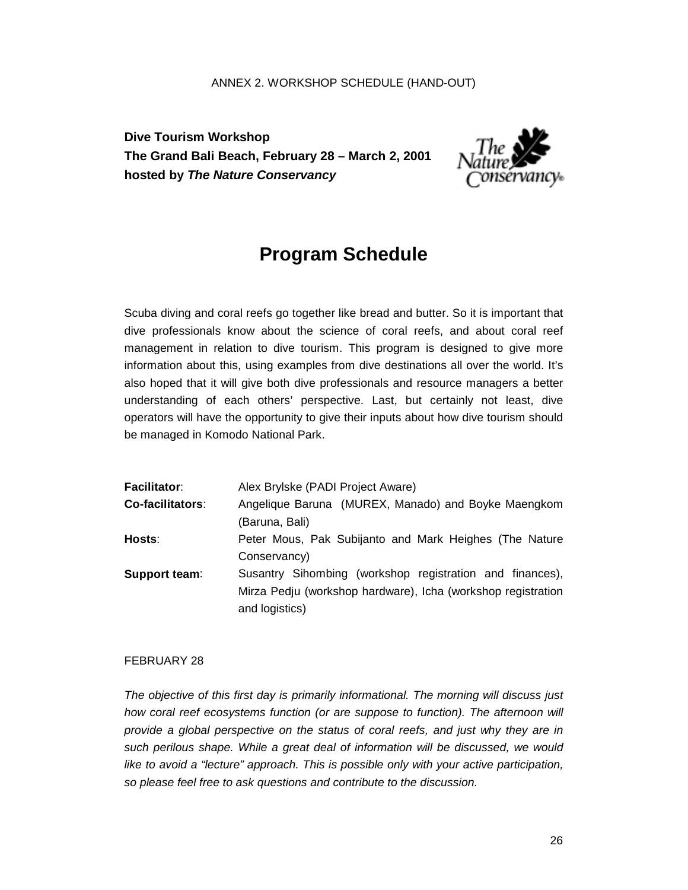#### ANNEX 2. WORKSHOP SCHEDULE (HAND-OUT)

**Dive Tourism Workshop The Grand Bali Beach, February 28 – March 2, 2001 hosted by** *The Nature Conservancy*



## **Program Schedule**

Scuba diving and coral reefs go together like bread and butter. So it is important that dive professionals know about the science of coral reefs, and about coral reef management in relation to dive tourism. This program is designed to give more information about this, using examples from dive destinations all over the world. It's also hoped that it will give both dive professionals and resource managers a better understanding of each others' perspective. Last, but certainly not least, dive operators will have the opportunity to give their inputs about how dive tourism should be managed in Komodo National Park.

| <b>Facilitator:</b> | Alex Brylske (PADI Project Aware)                            |  |  |
|---------------------|--------------------------------------------------------------|--|--|
| Co-facilitators:    | Angelique Baruna (MUREX, Manado) and Boyke Maengkom          |  |  |
|                     | (Baruna, Bali)                                               |  |  |
| Hosts:              | Peter Mous, Pak Subijanto and Mark Heighes (The Nature       |  |  |
|                     | Conservancy)                                                 |  |  |
| Support team:       | Susantry Sihombing (workshop registration and finances),     |  |  |
|                     | Mirza Pedju (workshop hardware), Icha (workshop registration |  |  |
|                     | and logistics)                                               |  |  |

#### FEBRUARY 28

*The objective of this first day is primarily informational. The morning will discuss just how coral reef ecosystems function (or are suppose to function). The afternoon will provide a global perspective on the status of coral reefs, and just why they are in such perilous shape. While a great deal of information will be discussed, we would like to avoid a "lecture" approach. This is possible only with your active participation, so please feel free to ask questions and contribute to the discussion.*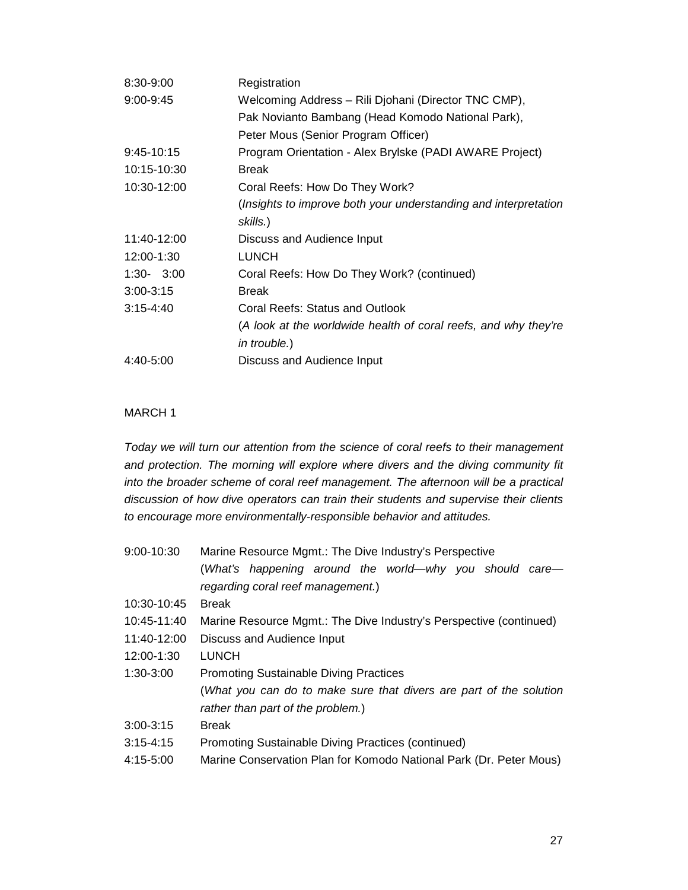| 8:30-9:00     | Registration                                                    |
|---------------|-----------------------------------------------------------------|
| $9:00 - 9:45$ | Welcoming Address - Rili Djohani (Director TNC CMP),            |
|               | Pak Novianto Bambang (Head Komodo National Park),               |
|               | Peter Mous (Senior Program Officer)                             |
| $9:45-10:15$  | Program Orientation - Alex Brylske (PADI AWARE Project)         |
| 10:15-10:30   | <b>Break</b>                                                    |
| 10:30-12:00   | Coral Reefs: How Do They Work?                                  |
|               | (Insights to improve both your understanding and interpretation |
|               | skills.)                                                        |
| 11:40-12:00   | Discuss and Audience Input                                      |
| 12:00-1:30    | <b>LUNCH</b>                                                    |
| $1:30 - 3:00$ | Coral Reefs: How Do They Work? (continued)                      |
| $3:00 - 3:15$ | <b>Break</b>                                                    |
| $3:15 - 4:40$ | Coral Reefs: Status and Outlook                                 |
|               | (A look at the worldwide health of coral reefs, and why they're |
|               | <i>in trouble.</i> )                                            |
| $4:40-5:00$   | Discuss and Audience Input                                      |

#### MARCH 1

*Today we will turn our attention from the science of coral reefs to their management and protection. The morning will explore where divers and the diving community fit into the broader scheme of coral reef management. The afternoon will be a practical discussion of how dive operators can train their students and supervise their clients to encourage more environmentally-responsible behavior and attitudes.* 

| $9:00 - 10:30$ | Marine Resource Mgmt.: The Dive Industry's Perspective             |  |  |
|----------------|--------------------------------------------------------------------|--|--|
|                | (What's happening around the world—why you should care—            |  |  |
|                | regarding coral reef management.)                                  |  |  |
| 10:30-10:45    | <b>Break</b>                                                       |  |  |
| 10:45-11:40    | Marine Resource Mgmt.: The Dive Industry's Perspective (continued) |  |  |
| 11:40-12:00    | Discuss and Audience Input                                         |  |  |
| 12:00-1:30     | <b>LUNCH</b>                                                       |  |  |
| $1:30-3:00$    | <b>Promoting Sustainable Diving Practices</b>                      |  |  |
|                | (What you can do to make sure that divers are part of the solution |  |  |
|                | rather than part of the problem.)                                  |  |  |
| $3:00 - 3:15$  | <b>Break</b>                                                       |  |  |
| $3:15 - 4:15$  | <b>Promoting Sustainable Diving Practices (continued)</b>          |  |  |
| 4:15-5:00      | Marine Conservation Plan for Komodo National Park (Dr. Peter Mous) |  |  |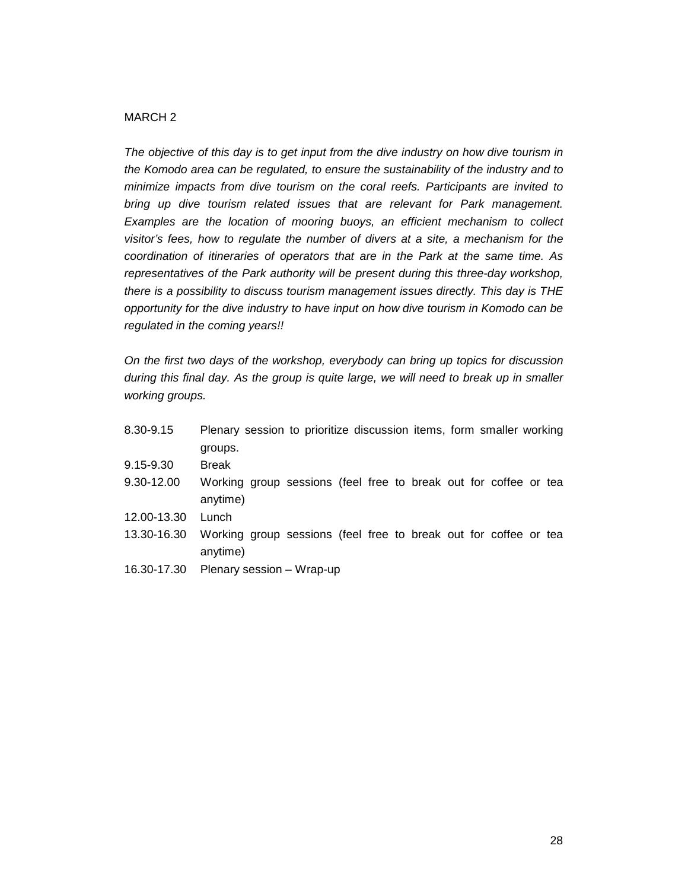#### MARCH 2

*The objective of this day is to get input from the dive industry on how dive tourism in the Komodo area can be regulated, to ensure the sustainability of the industry and to minimize impacts from dive tourism on the coral reefs. Participants are invited to bring up dive tourism related issues that are relevant for Park management. Examples are the location of mooring buoys, an efficient mechanism to collect visitor's fees, how to regulate the number of divers at a site, a mechanism for the coordination of itineraries of operators that are in the Park at the same time. As representatives of the Park authority will be present during this three-day workshop, there is a possibility to discuss tourism management issues directly. This day is THE opportunity for the dive industry to have input on how dive tourism in Komodo can be regulated in the coming years!!* 

*On the first two days of the workshop, everybody can bring up topics for discussion during this final day. As the group is quite large, we will need to break up in smaller working groups.* 

| 8.30-9.15     | Plenary session to prioritize discussion items, form smaller working |
|---------------|----------------------------------------------------------------------|
|               | groups.                                                              |
| $9.15 - 9.30$ | Break                                                                |
| 9.30-12.00    | Working group sessions (feel free to break out for coffee or tea     |
|               | anytime)                                                             |
| 12.00-13.30   | Lunch                                                                |
| 13.30-16.30   | Working group sessions (feel free to break out for coffee or tea     |
|               | anytime)                                                             |
|               | 16.30-17.30 Plenary session – Wrap-up                                |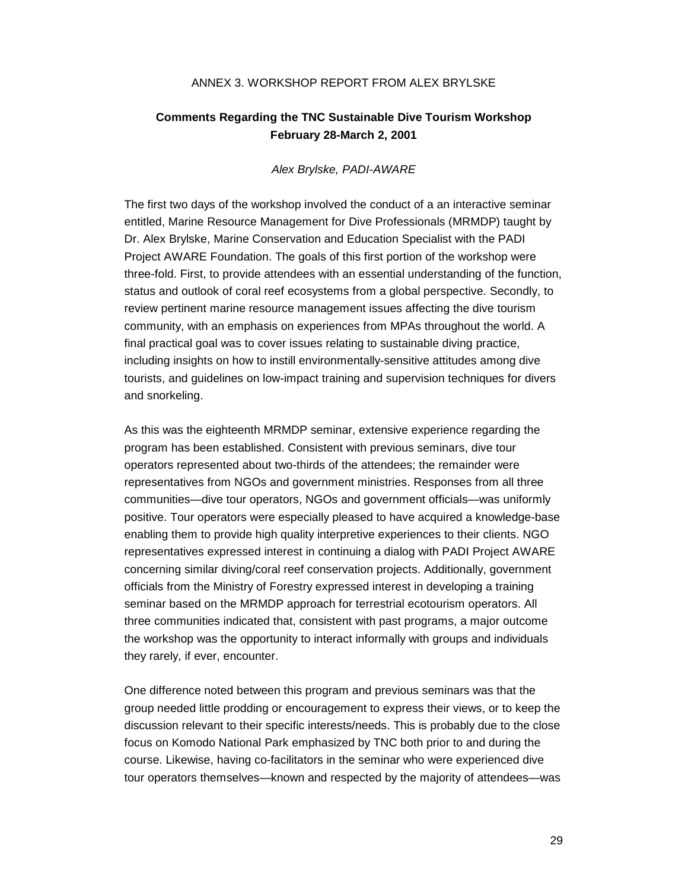#### ANNEX 3. WORKSHOP REPORT FROM ALEX BRYLSKE

#### **Comments Regarding the TNC Sustainable Dive Tourism Workshop February 28-March 2, 2001**

#### *Alex Brylske, PADI-AWARE*

The first two days of the workshop involved the conduct of a an interactive seminar entitled, Marine Resource Management for Dive Professionals (MRMDP) taught by Dr. Alex Brylske, Marine Conservation and Education Specialist with the PADI Project AWARE Foundation. The goals of this first portion of the workshop were three-fold. First, to provide attendees with an essential understanding of the function, status and outlook of coral reef ecosystems from a global perspective. Secondly, to review pertinent marine resource management issues affecting the dive tourism community, with an emphasis on experiences from MPAs throughout the world. A final practical goal was to cover issues relating to sustainable diving practice, including insights on how to instill environmentally-sensitive attitudes among dive tourists, and guidelines on low-impact training and supervision techniques for divers and snorkeling.

As this was the eighteenth MRMDP seminar, extensive experience regarding the program has been established. Consistent with previous seminars, dive tour operators represented about two-thirds of the attendees; the remainder were representatives from NGOs and government ministries. Responses from all three communities—dive tour operators, NGOs and government officials—was uniformly positive. Tour operators were especially pleased to have acquired a knowledge-base enabling them to provide high quality interpretive experiences to their clients. NGO representatives expressed interest in continuing a dialog with PADI Project AWARE concerning similar diving/coral reef conservation projects. Additionally, government officials from the Ministry of Forestry expressed interest in developing a training seminar based on the MRMDP approach for terrestrial ecotourism operators. All three communities indicated that, consistent with past programs, a major outcome the workshop was the opportunity to interact informally with groups and individuals they rarely, if ever, encounter.

One difference noted between this program and previous seminars was that the group needed little prodding or encouragement to express their views, or to keep the discussion relevant to their specific interests/needs. This is probably due to the close focus on Komodo National Park emphasized by TNC both prior to and during the course. Likewise, having co-facilitators in the seminar who were experienced dive tour operators themselves—known and respected by the majority of attendees—was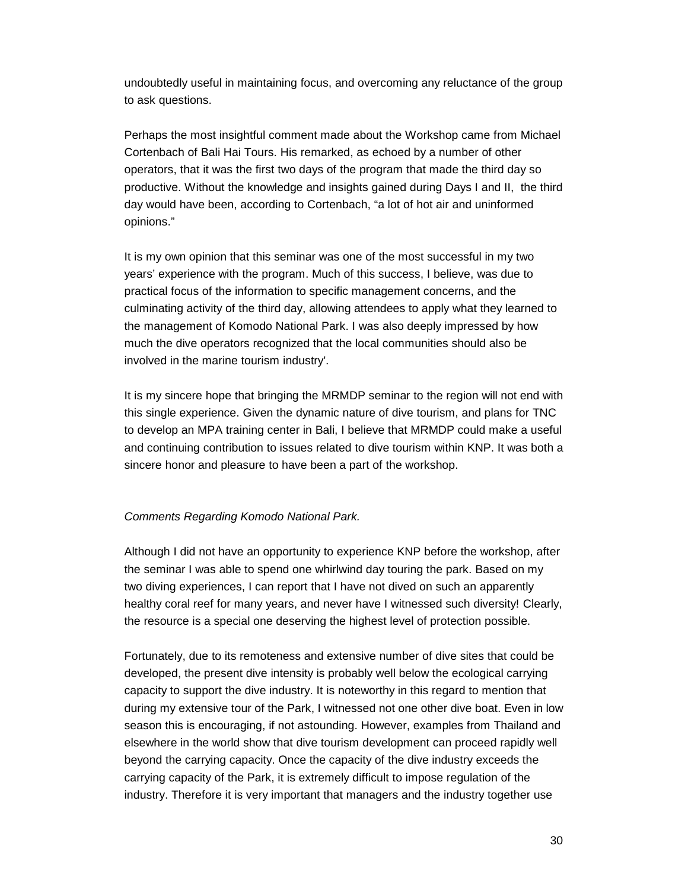undoubtedly useful in maintaining focus, and overcoming any reluctance of the group to ask questions.

Perhaps the most insightful comment made about the Workshop came from Michael Cortenbach of Bali Hai Tours. His remarked, as echoed by a number of other operators, that it was the first two days of the program that made the third day so productive. Without the knowledge and insights gained during Days I and II, the third day would have been, according to Cortenbach, "a lot of hot air and uninformed opinions."

It is my own opinion that this seminar was one of the most successful in my two years' experience with the program. Much of this success, I believe, was due to practical focus of the information to specific management concerns, and the culminating activity of the third day, allowing attendees to apply what they learned to the management of Komodo National Park. I was also deeply impressed by how much the dive operators recognized that the local communities should also be involved in the marine tourism industry'.

It is my sincere hope that bringing the MRMDP seminar to the region will not end with this single experience. Given the dynamic nature of dive tourism, and plans for TNC to develop an MPA training center in Bali, I believe that MRMDP could make a useful and continuing contribution to issues related to dive tourism within KNP. It was both a sincere honor and pleasure to have been a part of the workshop.

#### *Comments Regarding Komodo National Park.*

Although I did not have an opportunity to experience KNP before the workshop, after the seminar I was able to spend one whirlwind day touring the park. Based on my two diving experiences, I can report that I have not dived on such an apparently healthy coral reef for many years, and never have I witnessed such diversity! Clearly, the resource is a special one deserving the highest level of protection possible.

Fortunately, due to its remoteness and extensive number of dive sites that could be developed, the present dive intensity is probably well below the ecological carrying capacity to support the dive industry. It is noteworthy in this regard to mention that during my extensive tour of the Park, I witnessed not one other dive boat. Even in low season this is encouraging, if not astounding. However, examples from Thailand and elsewhere in the world show that dive tourism development can proceed rapidly well beyond the carrying capacity. Once the capacity of the dive industry exceeds the carrying capacity of the Park, it is extremely difficult to impose regulation of the industry. Therefore it is very important that managers and the industry together use